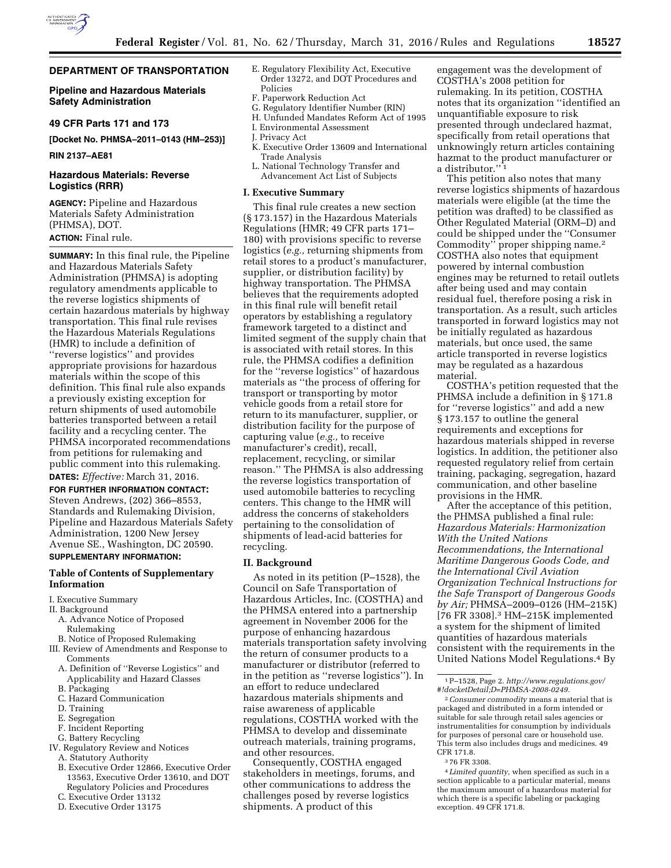

# **DEPARTMENT OF TRANSPORTATION**

# **Pipeline and Hazardous Materials Safety Administration**

# **49 CFR Parts 171 and 173**

**[Docket No. PHMSA–2011–0143 (HM–253)]** 

#### **RIN 2137–AE81**

# **Hazardous Materials: Reverse Logistics (RRR)**

**AGENCY:** Pipeline and Hazardous Materials Safety Administration (PHMSA), DOT. **ACTION:** Final rule.

**SUMMARY:** In this final rule, the Pipeline and Hazardous Materials Safety Administration (PHMSA) is adopting regulatory amendments applicable to the reverse logistics shipments of certain hazardous materials by highway transportation. This final rule revises the Hazardous Materials Regulations (HMR) to include a definition of ''reverse logistics'' and provides appropriate provisions for hazardous materials within the scope of this definition. This final rule also expands a previously existing exception for return shipments of used automobile batteries transported between a retail facility and a recycling center. The PHMSA incorporated recommendations from petitions for rulemaking and public comment into this rulemaking.

**DATES:** *Effective:* March 31, 2016. **FOR FURTHER INFORMATION CONTACT:**  Steven Andrews, (202) 366–8553, Standards and Rulemaking Division, Pipeline and Hazardous Materials Safety Administration, 1200 New Jersey Avenue SE., Washington, DC 20590. **SUPPLEMENTARY INFORMATION:** 

# **Table of Contents of Supplementary Information**

- I. Executive Summary
- II. Background
	- A. Advance Notice of Proposed Rulemaking
- B. Notice of Proposed Rulemaking
- III. Review of Amendments and Response to Comments
	- A. Definition of ''Reverse Logistics'' and Applicability and Hazard Classes
	- B. Packaging
	- C. Hazard Communication
	- D. Training
	- E. Segregation
	- F. Incident Reporting
	- G. Battery Recycling
- IV. Regulatory Review and Notices
	- A. Statutory Authority
	- B. Executive Order 12866, Executive Order 13563, Executive Order 13610, and DOT Regulatory Policies and Procedures
	- C. Executive Order 13132
	- D. Executive Order 13175
- E. Regulatory Flexibility Act, Executive Order 13272, and DOT Procedures and Policies
- F. Paperwork Reduction Act
- G. Regulatory Identifier Number (RIN)
- H. Unfunded Mandates Reform Act of 1995
- I. Environmental Assessment
- J. Privacy Act
- K. Executive Order 13609 and International Trade Analysis
- L. National Technology Transfer and Advancement Act List of Subjects

#### **I. Executive Summary**

This final rule creates a new section (§ 173.157) in the Hazardous Materials Regulations (HMR; 49 CFR parts 171– 180) with provisions specific to reverse logistics (*e.g.,* returning shipments from retail stores to a product's manufacturer, supplier, or distribution facility) by highway transportation. The PHMSA believes that the requirements adopted in this final rule will benefit retail operators by establishing a regulatory framework targeted to a distinct and limited segment of the supply chain that is associated with retail stores. In this rule, the PHMSA codifies a definition for the ''reverse logistics'' of hazardous materials as ''the process of offering for transport or transporting by motor vehicle goods from a retail store for return to its manufacturer, supplier, or distribution facility for the purpose of capturing value (*e.g.,* to receive manufacturer's credit), recall, replacement, recycling, or similar reason.'' The PHMSA is also addressing the reverse logistics transportation of used automobile batteries to recycling centers. This change to the HMR will address the concerns of stakeholders pertaining to the consolidation of shipments of lead-acid batteries for recycling.

#### **II. Background**

As noted in its petition (P–1528), the Council on Safe Transportation of Hazardous Articles, Inc. (COSTHA) and the PHMSA entered into a partnership agreement in November 2006 for the purpose of enhancing hazardous materials transportation safety involving the return of consumer products to a manufacturer or distributor (referred to in the petition as ''reverse logistics''). In an effort to reduce undeclared hazardous materials shipments and raise awareness of applicable regulations, COSTHA worked with the PHMSA to develop and disseminate outreach materials, training programs, and other resources.

Consequently, COSTHA engaged stakeholders in meetings, forums, and other communications to address the challenges posed by reverse logistics shipments. A product of this

engagement was the development of COSTHA's 2008 petition for rulemaking. In its petition, COSTHA notes that its organization ''identified an unquantifiable exposure to risk presented through undeclared hazmat, specifically from retail operations that unknowingly return articles containing hazmat to the product manufacturer or a distributor."<sup>1</sup>

This petition also notes that many reverse logistics shipments of hazardous materials were eligible (at the time the petition was drafted) to be classified as Other Regulated Material (ORM–D) and could be shipped under the ''Consumer Commodity'' proper shipping name.2 COSTHA also notes that equipment powered by internal combustion engines may be returned to retail outlets after being used and may contain residual fuel, therefore posing a risk in transportation. As a result, such articles transported in forward logistics may not be initially regulated as hazardous materials, but once used, the same article transported in reverse logistics may be regulated as a hazardous material.

COSTHA's petition requested that the PHMSA include a definition in § 171.8 for ''reverse logistics'' and add a new § 173.157 to outline the general requirements and exceptions for hazardous materials shipped in reverse logistics. In addition, the petitioner also requested regulatory relief from certain training, packaging, segregation, hazard communication, and other baseline provisions in the HMR.

After the acceptance of this petition, the PHMSA published a final rule: *Hazardous Materials: Harmonization With the United Nations Recommendations, the International Maritime Dangerous Goods Code, and the International Civil Aviation Organization Technical Instructions for the Safe Transport of Dangerous Goods by Air;* PHMSA–2009–0126 (HM–215K) [76 FR 3308].3 HM–215K implemented a system for the shipment of limited quantities of hazardous materials consistent with the requirements in the United Nations Model Regulations.4 By

3 76 FR 3308.

<sup>1</sup>P–1528, Page 2. *[http://www.regulations.gov/](http://www.regulations.gov/#!docketDetail;D=PHMSA-2008-0249) [#!docketDetail;D=PHMSA-2008-0249.](http://www.regulations.gov/#!docketDetail;D=PHMSA-2008-0249)* 

<sup>2</sup>*Consumer commodity* means a material that is packaged and distributed in a form intended or suitable for sale through retail sales agencies or instrumentalities for consumption by individuals for purposes of personal care or household use. This term also includes drugs and medicines. 49 CFR 171.8.

<sup>4</sup> *Limited quantity,* when specified as such in a section applicable to a particular material, means the maximum amount of a hazardous material for which there is a specific labeling or packaging exception. 49 CFR 171.8.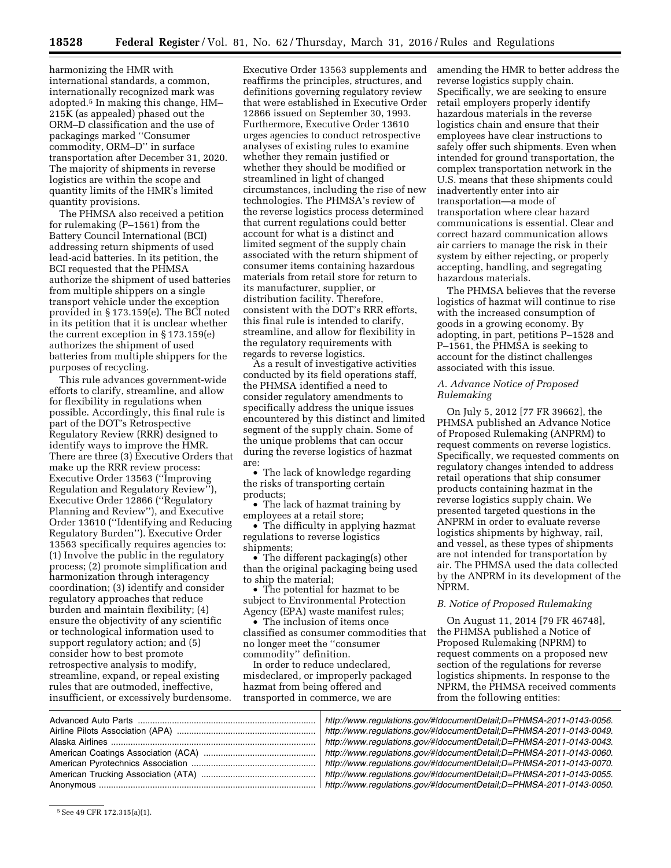harmonizing the HMR with international standards, a common, internationally recognized mark was adopted.5 In making this change, HM– 215K (as appealed) phased out the ORM–D classification and the use of packagings marked ''Consumer commodity, ORM–D'' in surface transportation after December 31, 2020. The majority of shipments in reverse logistics are within the scope and quantity limits of the HMR's limited quantity provisions.

The PHMSA also received a petition for rulemaking (P–1561) from the Battery Council International (BCI) addressing return shipments of used lead-acid batteries. In its petition, the BCI requested that the PHMSA authorize the shipment of used batteries from multiple shippers on a single transport vehicle under the exception provided in § 173.159(e). The BCI noted in its petition that it is unclear whether the current exception in § 173.159(e) authorizes the shipment of used batteries from multiple shippers for the purposes of recycling.

This rule advances government-wide efforts to clarify, streamline, and allow for flexibility in regulations when possible. Accordingly, this final rule is part of the DOT's Retrospective Regulatory Review (RRR) designed to identify ways to improve the HMR. There are three (3) Executive Orders that make up the RRR review process: Executive Order 13563 (''Improving Regulation and Regulatory Review''), Executive Order 12866 (''Regulatory Planning and Review''), and Executive Order 13610 (''Identifying and Reducing Regulatory Burden''). Executive Order 13563 specifically requires agencies to: (1) Involve the public in the regulatory process; (2) promote simplification and harmonization through interagency coordination; (3) identify and consider regulatory approaches that reduce burden and maintain flexibility; (4) ensure the objectivity of any scientific or technological information used to support regulatory action; and (5) consider how to best promote retrospective analysis to modify, streamline, expand, or repeal existing rules that are outmoded, ineffective, insufficient, or excessively burdensome.

Executive Order 13563 supplements and reaffirms the principles, structures, and definitions governing regulatory review that were established in Executive Order 12866 issued on September 30, 1993. Furthermore, Executive Order 13610 urges agencies to conduct retrospective analyses of existing rules to examine whether they remain justified or whether they should be modified or streamlined in light of changed circumstances, including the rise of new technologies. The PHMSA's review of the reverse logistics process determined that current regulations could better account for what is a distinct and limited segment of the supply chain associated with the return shipment of consumer items containing hazardous materials from retail store for return to its manufacturer, supplier, or distribution facility. Therefore, consistent with the DOT's RRR efforts, this final rule is intended to clarify, streamline, and allow for flexibility in the regulatory requirements with regards to reverse logistics.

As a result of investigative activities conducted by its field operations staff, the PHMSA identified a need to consider regulatory amendments to specifically address the unique issues encountered by this distinct and limited segment of the supply chain. Some of the unique problems that can occur during the reverse logistics of hazmat are:

• The lack of knowledge regarding the risks of transporting certain products;

• The lack of hazmat training by employees at a retail store;

• The difficulty in applying hazmat regulations to reverse logistics shipments;

• The different packaging(s) other than the original packaging being used to ship the material;

• The potential for hazmat to be subject to Environmental Protection Agency (EPA) waste manifest rules;

• The inclusion of items once classified as consumer commodities that no longer meet the ''consumer commodity'' definition.

In order to reduce undeclared, misdeclared, or improperly packaged hazmat from being offered and transported in commerce, we are

amending the HMR to better address the reverse logistics supply chain. Specifically, we are seeking to ensure retail employers properly identify hazardous materials in the reverse logistics chain and ensure that their employees have clear instructions to safely offer such shipments. Even when intended for ground transportation, the complex transportation network in the U.S. means that these shipments could inadvertently enter into air transportation—a mode of transportation where clear hazard communications is essential. Clear and correct hazard communication allows air carriers to manage the risk in their system by either rejecting, or properly accepting, handling, and segregating hazardous materials.

The PHMSA believes that the reverse logistics of hazmat will continue to rise with the increased consumption of goods in a growing economy. By adopting, in part, petitions P–1528 and P–1561, the PHMSA is seeking to account for the distinct challenges associated with this issue.

# *A. Advance Notice of Proposed Rulemaking*

On July 5, 2012 [77 FR 39662], the PHMSA published an Advance Notice of Proposed Rulemaking (ANPRM) to request comments on reverse logistics. Specifically, we requested comments on regulatory changes intended to address retail operations that ship consumer products containing hazmat in the reverse logistics supply chain. We presented targeted questions in the ANPRM in order to evaluate reverse logistics shipments by highway, rail, and vessel, as these types of shipments are not intended for transportation by air. The PHMSA used the data collected by the ANPRM in its development of the NPRM.

# *B. Notice of Proposed Rulemaking*

On August 11, 2014 [79 FR 46748], the PHMSA published a Notice of Proposed Rulemaking (NPRM) to request comments on a proposed new section of the regulations for reverse logistics shipments. In response to the NPRM, the PHMSA received comments from the following entities:

| http://www.regulations.gov/#!documentDetail;D=PHMSA-2011-0143-0056. |
|---------------------------------------------------------------------|
| http://www.regulations.gov/#!documentDetail;D=PHMSA-2011-0143-0049. |
| http://www.regulations.gov/#!documentDetail;D=PHMSA-2011-0143-0043. |
| http://www.regulations.gov/#!documentDetail;D=PHMSA-2011-0143-0060. |
| http://www.regulations.gov/#!documentDetail;D=PHMSA-2011-0143-0070. |
| http://www.regulations.gov/#!documentDetail;D=PHMSA-2011-0143-0055. |
| http://www.regulations.gov/#!documentDetail;D=PHMSA-2011-0143-0050. |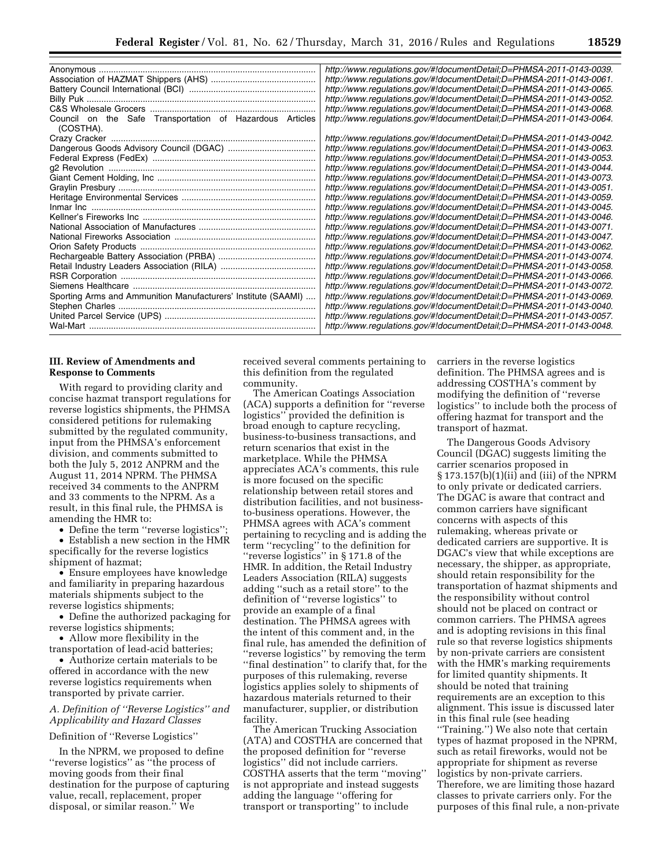|                                                                       | http://www.regulations.gov/#!documentDetail;D=PHMSA-2011-0143-0039. |
|-----------------------------------------------------------------------|---------------------------------------------------------------------|
|                                                                       | http://www.regulations.gov/#!documentDetail;D=PHMSA-2011-0143-0061. |
|                                                                       | http://www.regulations.gov/#!documentDetail;D=PHMSA-2011-0143-0065. |
|                                                                       | http://www.regulations.gov/#!documentDetail;D=PHMSA-2011-0143-0052. |
|                                                                       | http://www.regulations.gov/#!documentDetail;D=PHMSA-2011-0143-0068. |
| Council on the Safe Transportation of Hazardous Articles<br>(COSTHA). | http://www.regulations.gov/#!documentDetail;D=PHMSA-2011-0143-0064. |
|                                                                       | http://www.regulations.gov/#!documentDetail;D=PHMSA-2011-0143-0042. |
|                                                                       | http://www.regulations.gov/#!documentDetail;D=PHMSA-2011-0143-0063. |
|                                                                       | http://www.regulations.gov/#!documentDetail;D=PHMSA-2011-0143-0053. |
|                                                                       | http://www.regulations.gov/#!documentDetail;D=PHMSA-2011-0143-0044. |
|                                                                       | http://www.regulations.gov/#!documentDetail;D=PHMSA-2011-0143-0073. |
|                                                                       | http://www.regulations.gov/#!documentDetail;D=PHMSA-2011-0143-0051. |
|                                                                       | http://www.regulations.gov/#!documentDetail;D=PHMSA-2011-0143-0059. |
|                                                                       | http://www.regulations.gov/#!documentDetail;D=PHMSA-2011-0143-0045. |
|                                                                       | http://www.regulations.gov/#!documentDetail;D=PHMSA-2011-0143-0046. |
|                                                                       | http://www.regulations.gov/#!documentDetail;D=PHMSA-2011-0143-0071. |
|                                                                       | http://www.regulations.gov/#!documentDetail;D=PHMSA-2011-0143-0047. |
|                                                                       | http://www.regulations.gov/#!documentDetail;D=PHMSA-2011-0143-0062. |
|                                                                       | http://www.regulations.gov/#!documentDetail;D=PHMSA-2011-0143-0074. |
|                                                                       | http://www.regulations.gov/#!documentDetail;D=PHMSA-2011-0143-0058. |
|                                                                       | http://www.regulations.gov/#!documentDetail;D=PHMSA-2011-0143-0066. |
|                                                                       | http://www.regulations.gov/#!documentDetail;D=PHMSA-2011-0143-0072. |
| Sporting Arms and Ammunition Manufacturers' Institute (SAAMI)         | http://www.regulations.gov/#!documentDetail;D=PHMSA-2011-0143-0069. |
|                                                                       | http://www.regulations.gov/#!documentDetail;D=PHMSA-2011-0143-0040. |
|                                                                       | http://www.regulations.gov/#!documentDetail;D=PHMSA-2011-0143-0057. |
|                                                                       | http://www.regulations.gov/#!documentDetail;D=PHMSA-2011-0143-0048. |

# **III. Review of Amendments and Response to Comments**

With regard to providing clarity and concise hazmat transport regulations for reverse logistics shipments, the PHMSA considered petitions for rulemaking submitted by the regulated community, input from the PHMSA's enforcement division, and comments submitted to both the July 5, 2012 ANPRM and the August 11, 2014 NPRM. The PHMSA received 34 comments to the ANPRM and 33 comments to the NPRM. As a result, in this final rule, the PHMSA is amending the HMR to:

• Define the term ''reverse logistics''; • Establish a new section in the HMR specifically for the reverse logistics shipment of hazmat;

• Ensure employees have knowledge and familiarity in preparing hazardous materials shipments subject to the reverse logistics shipments;

• Define the authorized packaging for reverse logistics shipments;

• Allow more flexibility in the transportation of lead-acid batteries;

• Authorize certain materials to be offered in accordance with the new reverse logistics requirements when transported by private carrier.

# *A. Definition of ''Reverse Logistics'' and Applicability and Hazard Classes*

Definition of ''Reverse Logistics''

In the NPRM, we proposed to define ''reverse logistics'' as ''the process of moving goods from their final destination for the purpose of capturing value, recall, replacement, proper disposal, or similar reason.'' We

received several comments pertaining to this definition from the regulated community.

The American Coatings Association (ACA) supports a definition for ''reverse logistics'' provided the definition is broad enough to capture recycling, business-to-business transactions, and return scenarios that exist in the marketplace. While the PHMSA appreciates ACA's comments, this rule is more focused on the specific relationship between retail stores and distribution facilities, and not businessto-business operations. However, the PHMSA agrees with ACA's comment pertaining to recycling and is adding the term ''recycling'' to the definition for ''reverse logistics'' in § 171.8 of the HMR. In addition, the Retail Industry Leaders Association (RILA) suggests adding ''such as a retail store'' to the definition of ''reverse logistics'' to provide an example of a final destination. The PHMSA agrees with the intent of this comment and, in the final rule, has amended the definition of ''reverse logistics'' by removing the term ''final destination'' to clarify that, for the purposes of this rulemaking, reverse logistics applies solely to shipments of hazardous materials returned to their manufacturer, supplier, or distribution facility.

The American Trucking Association (ATA) and COSTHA are concerned that the proposed definition for ''reverse logistics'' did not include carriers. COSTHA asserts that the term ''moving'' is not appropriate and instead suggests adding the language ''offering for transport or transporting'' to include

carriers in the reverse logistics definition. The PHMSA agrees and is addressing COSTHA's comment by modifying the definition of ''reverse logistics'' to include both the process of offering hazmat for transport and the transport of hazmat.

The Dangerous Goods Advisory Council (DGAC) suggests limiting the carrier scenarios proposed in § 173.157(b)(1)(ii) and (iii) of the NPRM to only private or dedicated carriers. The DGAC is aware that contract and common carriers have significant concerns with aspects of this rulemaking, whereas private or dedicated carriers are supportive. It is DGAC's view that while exceptions are necessary, the shipper, as appropriate, should retain responsibility for the transportation of hazmat shipments and the responsibility without control should not be placed on contract or common carriers. The PHMSA agrees and is adopting revisions in this final rule so that reverse logistics shipments by non-private carriers are consistent with the HMR's marking requirements for limited quantity shipments. It should be noted that training requirements are an exception to this alignment. This issue is discussed later in this final rule (see heading ''Training.'') We also note that certain types of hazmat proposed in the NPRM, such as retail fireworks, would not be appropriate for shipment as reverse logistics by non-private carriers. Therefore, we are limiting those hazard classes to private carriers only. For the purposes of this final rule, a non-private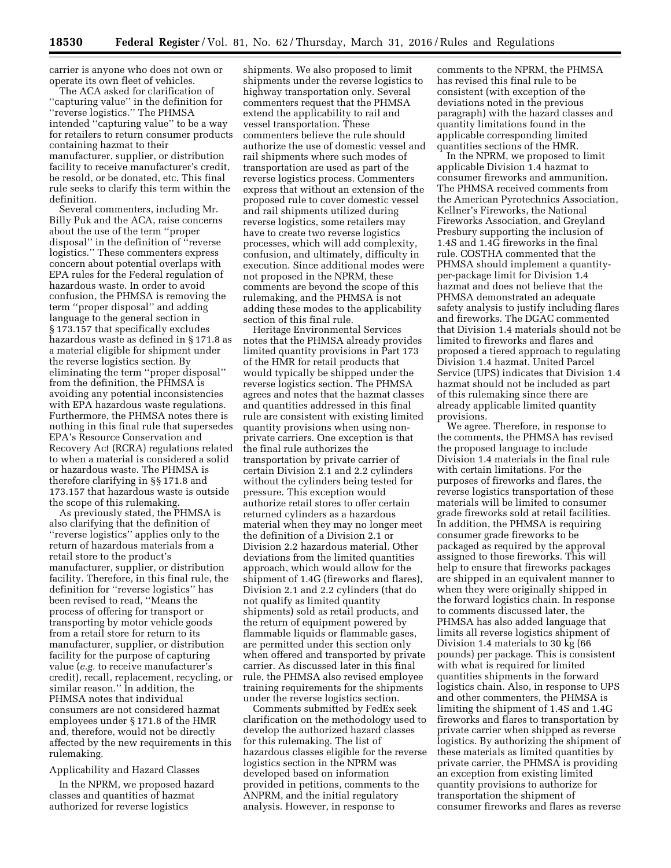carrier is anyone who does not own or operate its own fleet of vehicles.

The ACA asked for clarification of ''capturing value'' in the definition for ''reverse logistics.'' The PHMSA intended ''capturing value'' to be a way for retailers to return consumer products containing hazmat to their manufacturer, supplier, or distribution facility to receive manufacturer's credit, be resold, or be donated, etc. This final rule seeks to clarify this term within the definition.

Several commenters, including Mr. Billy Puk and the ACA, raise concerns about the use of the term ''proper disposal'' in the definition of ''reverse logistics.'' These commenters express concern about potential overlaps with EPA rules for the Federal regulation of hazardous waste. In order to avoid confusion, the PHMSA is removing the term ''proper disposal'' and adding language to the general section in § 173.157 that specifically excludes hazardous waste as defined in § 171.8 as a material eligible for shipment under the reverse logistics section. By eliminating the term ''proper disposal'' from the definition, the PHMSA is avoiding any potential inconsistencies with EPA hazardous waste regulations. Furthermore, the PHMSA notes there is nothing in this final rule that supersedes EPA's Resource Conservation and Recovery Act (RCRA) regulations related to when a material is considered a solid or hazardous waste. The PHMSA is therefore clarifying in §§ 171.8 and 173.157 that hazardous waste is outside the scope of this rulemaking.

As previously stated, the PHMSA is also clarifying that the definition of ''reverse logistics'' applies only to the return of hazardous materials from a retail store to the product's manufacturer, supplier, or distribution facility. Therefore, in this final rule, the definition for ''reverse logistics'' has been revised to read, ''Means the process of offering for transport or transporting by motor vehicle goods from a retail store for return to its manufacturer, supplier, or distribution facility for the purpose of capturing value (*e.g.* to receive manufacturer's credit), recall, replacement, recycling, or similar reason.'' In addition, the PHMSA notes that individual consumers are not considered hazmat employees under § 171.8 of the HMR and, therefore, would not be directly affected by the new requirements in this rulemaking.

## Applicability and Hazard Classes

In the NPRM, we proposed hazard classes and quantities of hazmat authorized for reverse logistics

shipments. We also proposed to limit shipments under the reverse logistics to highway transportation only. Several commenters request that the PHMSA extend the applicability to rail and vessel transportation. These commenters believe the rule should authorize the use of domestic vessel and rail shipments where such modes of transportation are used as part of the reverse logistics process. Commenters express that without an extension of the proposed rule to cover domestic vessel and rail shipments utilized during reverse logistics, some retailers may have to create two reverse logistics processes, which will add complexity, confusion, and ultimately, difficulty in execution. Since additional modes were not proposed in the NPRM, these comments are beyond the scope of this rulemaking, and the PHMSA is not adding these modes to the applicability section of this final rule.

Heritage Environmental Services notes that the PHMSA already provides limited quantity provisions in Part 173 of the HMR for retail products that would typically be shipped under the reverse logistics section. The PHMSA agrees and notes that the hazmat classes and quantities addressed in this final rule are consistent with existing limited quantity provisions when using nonprivate carriers. One exception is that the final rule authorizes the transportation by private carrier of certain Division 2.1 and 2.2 cylinders without the cylinders being tested for pressure. This exception would authorize retail stores to offer certain returned cylinders as a hazardous material when they may no longer meet the definition of a Division 2.1 or Division 2.2 hazardous material. Other deviations from the limited quantities approach, which would allow for the shipment of 1.4G (fireworks and flares), Division 2.1 and 2.2 cylinders (that do not qualify as limited quantity shipments) sold as retail products, and the return of equipment powered by flammable liquids or flammable gases, are permitted under this section only when offered and transported by private carrier. As discussed later in this final rule, the PHMSA also revised employee training requirements for the shipments under the reverse logistics section.

Comments submitted by FedEx seek clarification on the methodology used to develop the authorized hazard classes for this rulemaking. The list of hazardous classes eligible for the reverse logistics section in the NPRM was developed based on information provided in petitions, comments to the ANPRM, and the initial regulatory analysis. However, in response to

comments to the NPRM, the PHMSA has revised this final rule to be consistent (with exception of the deviations noted in the previous paragraph) with the hazard classes and quantity limitations found in the applicable corresponding limited quantities sections of the HMR.

In the NPRM, we proposed to limit applicable Division 1.4 hazmat to consumer fireworks and ammunition. The PHMSA received comments from the American Pyrotechnics Association, Kellner's Fireworks, the National Fireworks Association, and Greyland Presbury supporting the inclusion of 1.4S and 1.4G fireworks in the final rule. COSTHA commented that the PHMSA should implement a quantityper-package limit for Division 1.4 hazmat and does not believe that the PHMSA demonstrated an adequate safety analysis to justify including flares and fireworks. The DGAC commented that Division 1.4 materials should not be limited to fireworks and flares and proposed a tiered approach to regulating Division 1.4 hazmat. United Parcel Service (UPS) indicates that Division 1.4 hazmat should not be included as part of this rulemaking since there are already applicable limited quantity provisions.

We agree. Therefore, in response to the comments, the PHMSA has revised the proposed language to include Division 1.4 materials in the final rule with certain limitations. For the purposes of fireworks and flares, the reverse logistics transportation of these materials will be limited to consumer grade fireworks sold at retail facilities. In addition, the PHMSA is requiring consumer grade fireworks to be packaged as required by the approval assigned to those fireworks. This will help to ensure that fireworks packages are shipped in an equivalent manner to when they were originally shipped in the forward logistics chain. In response to comments discussed later, the PHMSA has also added language that limits all reverse logistics shipment of Division 1.4 materials to 30 kg (66 pounds) per package. This is consistent with what is required for limited quantities shipments in the forward logistics chain. Also, in response to UPS and other commenters, the PHMSA is limiting the shipment of 1.4S and 1.4G fireworks and flares to transportation by private carrier when shipped as reverse logistics. By authorizing the shipment of these materials as limited quantities by private carrier, the PHMSA is providing an exception from existing limited quantity provisions to authorize for transportation the shipment of consumer fireworks and flares as reverse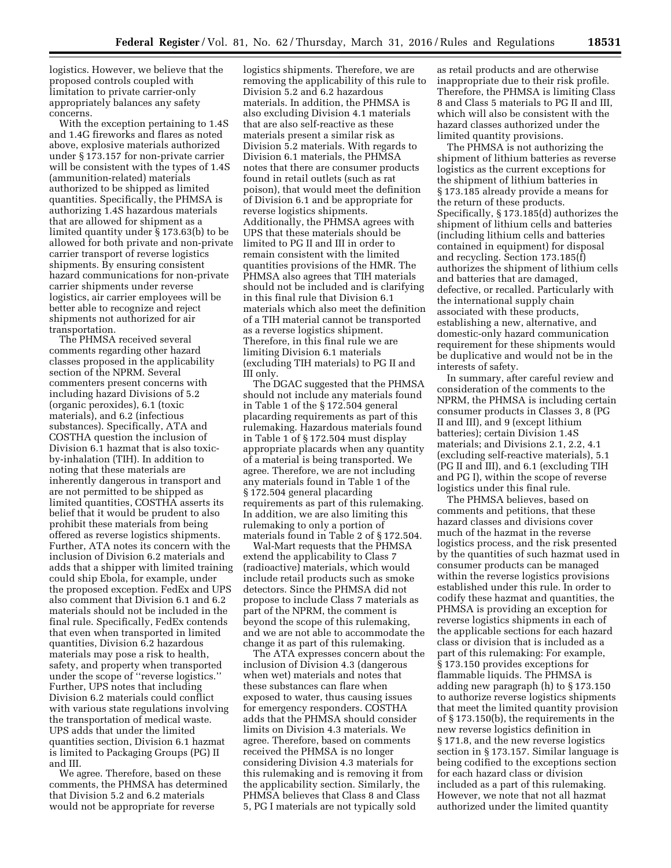logistics. However, we believe that the proposed controls coupled with limitation to private carrier-only appropriately balances any safety concerns.

With the exception pertaining to 1.4S and 1.4G fireworks and flares as noted above, explosive materials authorized under § 173.157 for non-private carrier will be consistent with the types of 1.4S (ammunition-related) materials authorized to be shipped as limited quantities. Specifically, the PHMSA is authorizing 1.4S hazardous materials that are allowed for shipment as a limited quantity under § 173.63(b) to be allowed for both private and non-private carrier transport of reverse logistics shipments. By ensuring consistent hazard communications for non-private carrier shipments under reverse logistics, air carrier employees will be better able to recognize and reject shipments not authorized for air transportation.

The PHMSA received several comments regarding other hazard classes proposed in the applicability section of the NPRM. Several commenters present concerns with including hazard Divisions of 5.2 (organic peroxides), 6.1 (toxic materials), and 6.2 (infectious substances). Specifically, ATA and COSTHA question the inclusion of Division 6.1 hazmat that is also toxicby-inhalation (TIH). In addition to noting that these materials are inherently dangerous in transport and are not permitted to be shipped as limited quantities, COSTHA asserts its belief that it would be prudent to also prohibit these materials from being offered as reverse logistics shipments. Further, ATA notes its concern with the inclusion of Division 6.2 materials and adds that a shipper with limited training could ship Ebola, for example, under the proposed exception. FedEx and UPS also comment that Division 6.1 and 6.2 materials should not be included in the final rule. Specifically, FedEx contends that even when transported in limited quantities, Division 6.2 hazardous materials may pose a risk to health, safety, and property when transported under the scope of ''reverse logistics.'' Further, UPS notes that including Division 6.2 materials could conflict with various state regulations involving the transportation of medical waste. UPS adds that under the limited quantities section, Division 6.1 hazmat is limited to Packaging Groups (PG) II and III.

We agree. Therefore, based on these comments, the PHMSA has determined that Division 5.2 and 6.2 materials would not be appropriate for reverse

logistics shipments. Therefore, we are removing the applicability of this rule to Division 5.2 and 6.2 hazardous materials. In addition, the PHMSA is also excluding Division 4.1 materials that are also self-reactive as these materials present a similar risk as Division 5.2 materials. With regards to Division 6.1 materials, the PHMSA notes that there are consumer products found in retail outlets (such as rat poison), that would meet the definition of Division 6.1 and be appropriate for reverse logistics shipments. Additionally, the PHMSA agrees with UPS that these materials should be limited to PG II and III in order to remain consistent with the limited quantities provisions of the HMR. The PHMSA also agrees that TIH materials should not be included and is clarifying in this final rule that Division 6.1 materials which also meet the definition of a TIH material cannot be transported as a reverse logistics shipment. Therefore, in this final rule we are limiting Division 6.1 materials (excluding TIH materials) to PG II and III only.

The DGAC suggested that the PHMSA should not include any materials found in Table 1 of the § 172.504 general placarding requirements as part of this rulemaking. Hazardous materials found in Table 1 of § 172.504 must display appropriate placards when any quantity of a material is being transported. We agree. Therefore, we are not including any materials found in Table 1 of the § 172.504 general placarding requirements as part of this rulemaking. In addition, we are also limiting this rulemaking to only a portion of materials found in Table 2 of § 172.504.

Wal-Mart requests that the PHMSA extend the applicability to Class 7 (radioactive) materials, which would include retail products such as smoke detectors. Since the PHMSA did not propose to include Class 7 materials as part of the NPRM, the comment is beyond the scope of this rulemaking, and we are not able to accommodate the change it as part of this rulemaking.

The ATA expresses concern about the inclusion of Division 4.3 (dangerous when wet) materials and notes that these substances can flare when exposed to water, thus causing issues for emergency responders. COSTHA adds that the PHMSA should consider limits on Division 4.3 materials. We agree. Therefore, based on comments received the PHMSA is no longer considering Division 4.3 materials for this rulemaking and is removing it from the applicability section. Similarly, the PHMSA believes that Class 8 and Class 5, PG I materials are not typically sold

as retail products and are otherwise inappropriate due to their risk profile. Therefore, the PHMSA is limiting Class 8 and Class 5 materials to PG II and III, which will also be consistent with the hazard classes authorized under the limited quantity provisions.

The PHMSA is not authorizing the shipment of lithium batteries as reverse logistics as the current exceptions for the shipment of lithium batteries in § 173.185 already provide a means for the return of these products. Specifically, § 173.185(d) authorizes the shipment of lithium cells and batteries (including lithium cells and batteries contained in equipment) for disposal and recycling. Section 173.185(f) authorizes the shipment of lithium cells and batteries that are damaged, defective, or recalled. Particularly with the international supply chain associated with these products, establishing a new, alternative, and domestic-only hazard communication requirement for these shipments would be duplicative and would not be in the interests of safety.

In summary, after careful review and consideration of the comments to the NPRM, the PHMSA is including certain consumer products in Classes 3, 8 (PG II and III), and 9 (except lithium batteries); certain Division 1.4S materials; and Divisions 2.1, 2.2, 4.1 (excluding self-reactive materials), 5.1 (PG II and III), and 6.1 (excluding TIH and PG I), within the scope of reverse logistics under this final rule.

The PHMSA believes, based on comments and petitions, that these hazard classes and divisions cover much of the hazmat in the reverse logistics process, and the risk presented by the quantities of such hazmat used in consumer products can be managed within the reverse logistics provisions established under this rule. In order to codify these hazmat and quantities, the PHMSA is providing an exception for reverse logistics shipments in each of the applicable sections for each hazard class or division that is included as a part of this rulemaking: For example, § 173.150 provides exceptions for flammable liquids. The PHMSA is adding new paragraph (h) to § 173.150 to authorize reverse logistics shipments that meet the limited quantity provision of § 173.150(b), the requirements in the new reverse logistics definition in § 171.8, and the new reverse logistics section in § 173.157. Similar language is being codified to the exceptions section for each hazard class or division included as a part of this rulemaking. However, we note that not all hazmat authorized under the limited quantity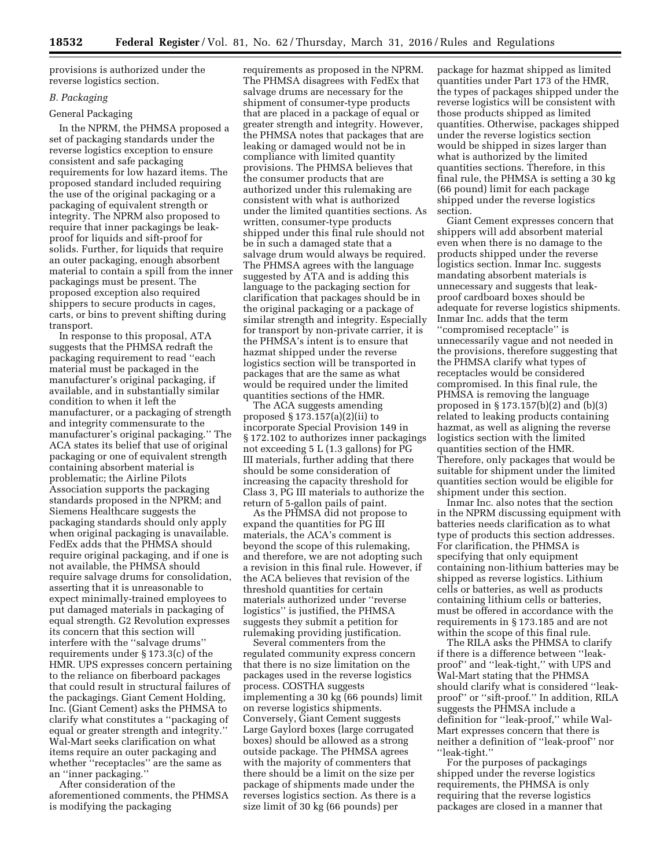provisions is authorized under the reverse logistics section.

# *B. Packaging*

## General Packaging

In the NPRM, the PHMSA proposed a set of packaging standards under the reverse logistics exception to ensure consistent and safe packaging requirements for low hazard items. The proposed standard included requiring the use of the original packaging or a packaging of equivalent strength or integrity. The NPRM also proposed to require that inner packagings be leakproof for liquids and sift-proof for solids. Further, for liquids that require an outer packaging, enough absorbent material to contain a spill from the inner packagings must be present. The proposed exception also required shippers to secure products in cages, carts, or bins to prevent shifting during transport.

In response to this proposal, ATA suggests that the PHMSA redraft the packaging requirement to read ''each material must be packaged in the manufacturer's original packaging, if available, and in substantially similar condition to when it left the manufacturer, or a packaging of strength and integrity commensurate to the manufacturer's original packaging.'' The ACA states its belief that use of original packaging or one of equivalent strength containing absorbent material is problematic; the Airline Pilots Association supports the packaging standards proposed in the NPRM; and Siemens Healthcare suggests the packaging standards should only apply when original packaging is unavailable. FedEx adds that the PHMSA should require original packaging, and if one is not available, the PHMSA should require salvage drums for consolidation, asserting that it is unreasonable to expect minimally-trained employees to put damaged materials in packaging of equal strength. G2 Revolution expresses its concern that this section will interfere with the ''salvage drums'' requirements under § 173.3(c) of the HMR. UPS expresses concern pertaining to the reliance on fiberboard packages that could result in structural failures of the packagings. Giant Cement Holding, Inc. (Giant Cement) asks the PHMSA to clarify what constitutes a ''packaging of equal or greater strength and integrity.'' Wal-Mart seeks clarification on what items require an outer packaging and whether ''receptacles'' are the same as an ''inner packaging.''

After consideration of the aforementioned comments, the PHMSA is modifying the packaging

requirements as proposed in the NPRM. The PHMSA disagrees with FedEx that salvage drums are necessary for the shipment of consumer-type products that are placed in a package of equal or greater strength and integrity. However, the PHMSA notes that packages that are leaking or damaged would not be in compliance with limited quantity provisions. The PHMSA believes that the consumer products that are authorized under this rulemaking are consistent with what is authorized under the limited quantities sections. As written, consumer-type products shipped under this final rule should not be in such a damaged state that a salvage drum would always be required. The PHMSA agrees with the language suggested by ATA and is adding this language to the packaging section for clarification that packages should be in the original packaging or a package of similar strength and integrity. Especially for transport by non-private carrier, it is the PHMSA's intent is to ensure that hazmat shipped under the reverse logistics section will be transported in packages that are the same as what would be required under the limited quantities sections of the HMR.

The ACA suggests amending proposed § 173.157(a)(2)(ii) to incorporate Special Provision 149 in § 172.102 to authorizes inner packagings not exceeding 5 L (1.3 gallons) for PG III materials, further adding that there should be some consideration of increasing the capacity threshold for Class 3, PG III materials to authorize the return of 5-gallon pails of paint.

As the PHMSA did not propose to expand the quantities for PG III materials, the ACA's comment is beyond the scope of this rulemaking, and therefore, we are not adopting such a revision in this final rule. However, if the ACA believes that revision of the threshold quantities for certain materials authorized under ''reverse logistics'' is justified, the PHMSA suggests they submit a petition for rulemaking providing justification.

Several commenters from the regulated community express concern that there is no size limitation on the packages used in the reverse logistics process. COSTHA suggests implementing a 30 kg (66 pounds) limit on reverse logistics shipments. Conversely, Giant Cement suggests Large Gaylord boxes (large corrugated boxes) should be allowed as a strong outside package. The PHMSA agrees with the majority of commenters that there should be a limit on the size per package of shipments made under the reverses logistics section. As there is a size limit of 30 kg (66 pounds) per

package for hazmat shipped as limited quantities under Part 173 of the HMR, the types of packages shipped under the reverse logistics will be consistent with those products shipped as limited quantities. Otherwise, packages shipped under the reverse logistics section would be shipped in sizes larger than what is authorized by the limited quantities sections. Therefore, in this final rule, the PHMSA is setting a 30 kg (66 pound) limit for each package shipped under the reverse logistics section.

Giant Cement expresses concern that shippers will add absorbent material even when there is no damage to the products shipped under the reverse logistics section. Inmar Inc. suggests mandating absorbent materials is unnecessary and suggests that leakproof cardboard boxes should be adequate for reverse logistics shipments. Inmar Inc. adds that the term ''compromised receptacle'' is unnecessarily vague and not needed in the provisions, therefore suggesting that the PHMSA clarify what types of receptacles would be considered compromised. In this final rule, the PHMSA is removing the language proposed in § 173.157(b)(2) and (b)(3) related to leaking products containing hazmat, as well as aligning the reverse logistics section with the limited quantities section of the HMR. Therefore, only packages that would be suitable for shipment under the limited quantities section would be eligible for shipment under this section.

Inmar Inc. also notes that the section in the NPRM discussing equipment with batteries needs clarification as to what type of products this section addresses. For clarification, the PHMSA is specifying that only equipment containing non-lithium batteries may be shipped as reverse logistics. Lithium cells or batteries, as well as products containing lithium cells or batteries, must be offered in accordance with the requirements in § 173.185 and are not within the scope of this final rule.

The RILA asks the PHMSA to clarify if there is a difference between ''leakproof'' and ''leak-tight,'' with UPS and Wal-Mart stating that the PHMSA should clarify what is considered ''leakproof'' or ''sift-proof.'' In addition, RILA suggests the PHMSA include a definition for ''leak-proof,'' while Wal-Mart expresses concern that there is neither a definition of ''leak-proof'' nor ''leak-tight.''

For the purposes of packagings shipped under the reverse logistics requirements, the PHMSA is only requiring that the reverse logistics packages are closed in a manner that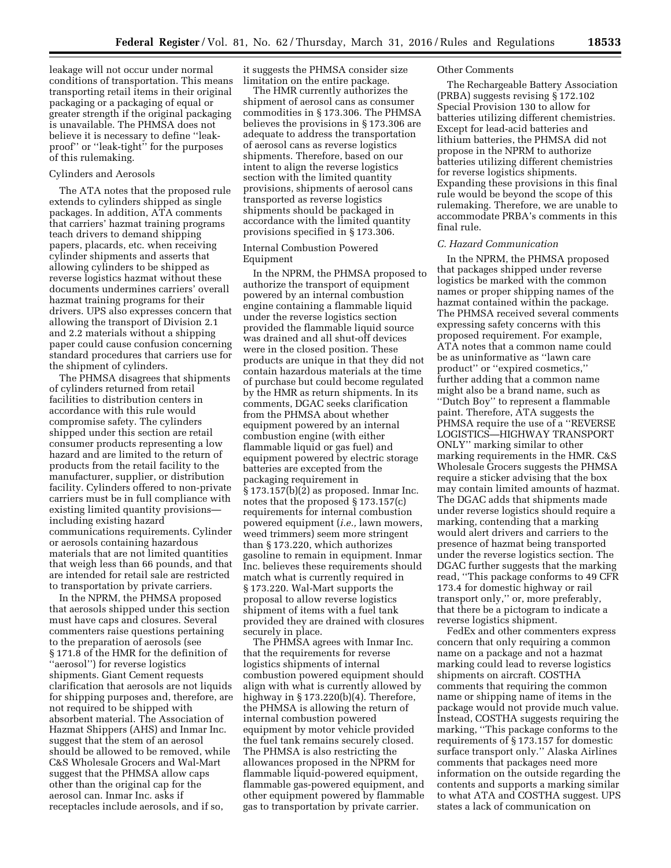leakage will not occur under normal conditions of transportation. This means transporting retail items in their original packaging or a packaging of equal or greater strength if the original packaging is unavailable. The PHMSA does not believe it is necessary to define ''leakproof'' or ''leak-tight'' for the purposes of this rulemaking.

# Cylinders and Aerosols

The ATA notes that the proposed rule extends to cylinders shipped as single packages. In addition, ATA comments that carriers' hazmat training programs teach drivers to demand shipping papers, placards, etc. when receiving cylinder shipments and asserts that allowing cylinders to be shipped as reverse logistics hazmat without these documents undermines carriers' overall hazmat training programs for their drivers. UPS also expresses concern that allowing the transport of Division 2.1 and 2.2 materials without a shipping paper could cause confusion concerning standard procedures that carriers use for the shipment of cylinders.

The PHMSA disagrees that shipments of cylinders returned from retail facilities to distribution centers in accordance with this rule would compromise safety. The cylinders shipped under this section are retail consumer products representing a low hazard and are limited to the return of products from the retail facility to the manufacturer, supplier, or distribution facility. Cylinders offered to non-private carriers must be in full compliance with existing limited quantity provisions including existing hazard communications requirements. Cylinder or aerosols containing hazardous materials that are not limited quantities that weigh less than 66 pounds, and that are intended for retail sale are restricted to transportation by private carriers.

In the NPRM, the PHMSA proposed that aerosols shipped under this section must have caps and closures. Several commenters raise questions pertaining to the preparation of aerosols (see § 171.8 of the HMR for the definition of ''aerosol'') for reverse logistics shipments. Giant Cement requests clarification that aerosols are not liquids for shipping purposes and, therefore, are not required to be shipped with absorbent material. The Association of Hazmat Shippers (AHS) and Inmar Inc. suggest that the stem of an aerosol should be allowed to be removed, while C&S Wholesale Grocers and Wal-Mart suggest that the PHMSA allow caps other than the original cap for the aerosol can. Inmar Inc. asks if receptacles include aerosols, and if so,

it suggests the PHMSA consider size limitation on the entire package.

The HMR currently authorizes the shipment of aerosol cans as consumer commodities in § 173.306. The PHMSA believes the provisions in § 173.306 are adequate to address the transportation of aerosol cans as reverse logistics shipments. Therefore, based on our intent to align the reverse logistics section with the limited quantity provisions, shipments of aerosol cans transported as reverse logistics shipments should be packaged in accordance with the limited quantity provisions specified in § 173.306.

# Internal Combustion Powered Equipment

In the NPRM, the PHMSA proposed to authorize the transport of equipment powered by an internal combustion engine containing a flammable liquid under the reverse logistics section provided the flammable liquid source was drained and all shut-off devices were in the closed position. These products are unique in that they did not contain hazardous materials at the time of purchase but could become regulated by the HMR as return shipments. In its comments, DGAC seeks clarification from the PHMSA about whether equipment powered by an internal combustion engine (with either flammable liquid or gas fuel) and equipment powered by electric storage batteries are excepted from the packaging requirement in § 173.157(b)(2) as proposed. Inmar Inc. notes that the proposed § 173.157(c) requirements for internal combustion powered equipment (*i.e.,* lawn mowers, weed trimmers) seem more stringent than § 173.220, which authorizes gasoline to remain in equipment. Inmar Inc. believes these requirements should match what is currently required in § 173.220. Wal-Mart supports the proposal to allow reverse logistics shipment of items with a fuel tank provided they are drained with closures securely in place.

The PHMSA agrees with Inmar Inc. that the requirements for reverse logistics shipments of internal combustion powered equipment should align with what is currently allowed by highway in  $\S 173.220(b)(4)$ . Therefore, the PHMSA is allowing the return of internal combustion powered equipment by motor vehicle provided the fuel tank remains securely closed. The PHMSA is also restricting the allowances proposed in the NPRM for flammable liquid-powered equipment, flammable gas-powered equipment, and other equipment powered by flammable gas to transportation by private carrier.

## Other Comments

The Rechargeable Battery Association (PRBA) suggests revising § 172.102 Special Provision 130 to allow for batteries utilizing different chemistries. Except for lead-acid batteries and lithium batteries, the PHMSA did not propose in the NPRM to authorize batteries utilizing different chemistries for reverse logistics shipments. Expanding these provisions in this final rule would be beyond the scope of this rulemaking. Therefore, we are unable to accommodate PRBA's comments in this final rule.

## *C. Hazard Communication*

In the NPRM, the PHMSA proposed that packages shipped under reverse logistics be marked with the common names or proper shipping names of the hazmat contained within the package. The PHMSA received several comments expressing safety concerns with this proposed requirement. For example, ATA notes that a common name could be as uninformative as ''lawn care product'' or ''expired cosmetics,'' further adding that a common name might also be a brand name, such as ''Dutch Boy'' to represent a flammable paint. Therefore, ATA suggests the PHMSA require the use of a ''REVERSE LOGISTICS—HIGHWAY TRANSPORT ONLY'' marking similar to other marking requirements in the HMR. C&S Wholesale Grocers suggests the PHMSA require a sticker advising that the box may contain limited amounts of hazmat. The DGAC adds that shipments made under reverse logistics should require a marking, contending that a marking would alert drivers and carriers to the presence of hazmat being transported under the reverse logistics section. The DGAC further suggests that the marking read, ''This package conforms to 49 CFR 173.4 for domestic highway or rail transport only,'' or, more preferably, that there be a pictogram to indicate a reverse logistics shipment.

FedEx and other commenters express concern that only requiring a common name on a package and not a hazmat marking could lead to reverse logistics shipments on aircraft. COSTHA comments that requiring the common name or shipping name of items in the package would not provide much value. Instead, COSTHA suggests requiring the marking, ''This package conforms to the requirements of § 173.157 for domestic surface transport only.'' Alaska Airlines comments that packages need more information on the outside regarding the contents and supports a marking similar to what ATA and COSTHA suggest. UPS states a lack of communication on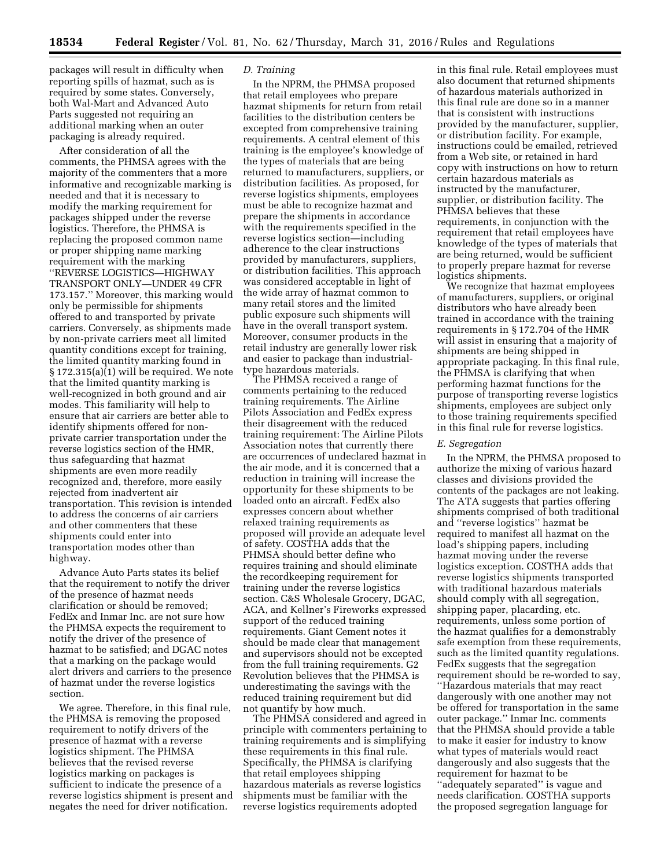packages will result in difficulty when reporting spills of hazmat, such as is required by some states. Conversely, both Wal-Mart and Advanced Auto Parts suggested not requiring an additional marking when an outer packaging is already required.

After consideration of all the comments, the PHMSA agrees with the majority of the commenters that a more informative and recognizable marking is needed and that it is necessary to modify the marking requirement for packages shipped under the reverse logistics. Therefore, the PHMSA is replacing the proposed common name or proper shipping name marking requirement with the marking ''REVERSE LOGISTICS—HIGHWAY TRANSPORT ONLY—UNDER 49 CFR 173.157.'' Moreover, this marking would only be permissible for shipments offered to and transported by private carriers. Conversely, as shipments made by non-private carriers meet all limited quantity conditions except for training, the limited quantity marking found in § 172.315(a)(1) will be required. We note that the limited quantity marking is well-recognized in both ground and air modes. This familiarity will help to ensure that air carriers are better able to identify shipments offered for nonprivate carrier transportation under the reverse logistics section of the HMR, thus safeguarding that hazmat shipments are even more readily recognized and, therefore, more easily rejected from inadvertent air transportation. This revision is intended to address the concerns of air carriers and other commenters that these shipments could enter into transportation modes other than highway.

Advance Auto Parts states its belief that the requirement to notify the driver of the presence of hazmat needs clarification or should be removed; FedEx and Inmar Inc. are not sure how the PHMSA expects the requirement to notify the driver of the presence of hazmat to be satisfied; and DGAC notes that a marking on the package would alert drivers and carriers to the presence of hazmat under the reverse logistics section.

We agree. Therefore, in this final rule, the PHMSA is removing the proposed requirement to notify drivers of the presence of hazmat with a reverse logistics shipment. The PHMSA believes that the revised reverse logistics marking on packages is sufficient to indicate the presence of a reverse logistics shipment is present and negates the need for driver notification.

# *D. Training*

In the NPRM, the PHMSA proposed that retail employees who prepare hazmat shipments for return from retail facilities to the distribution centers be excepted from comprehensive training requirements. A central element of this training is the employee's knowledge of the types of materials that are being returned to manufacturers, suppliers, or distribution facilities. As proposed, for reverse logistics shipments, employees must be able to recognize hazmat and prepare the shipments in accordance with the requirements specified in the reverse logistics section—including adherence to the clear instructions provided by manufacturers, suppliers, or distribution facilities. This approach was considered acceptable in light of the wide array of hazmat common to many retail stores and the limited public exposure such shipments will have in the overall transport system. Moreover, consumer products in the retail industry are generally lower risk and easier to package than industrialtype hazardous materials.

The PHMSA received a range of comments pertaining to the reduced training requirements. The Airline Pilots Association and FedEx express their disagreement with the reduced training requirement: The Airline Pilots Association notes that currently there are occurrences of undeclared hazmat in the air mode, and it is concerned that a reduction in training will increase the opportunity for these shipments to be loaded onto an aircraft. FedEx also expresses concern about whether relaxed training requirements as proposed will provide an adequate level of safety. COSTHA adds that the PHMSA should better define who requires training and should eliminate the recordkeeping requirement for training under the reverse logistics section. C&S Wholesale Grocery, DGAC, ACA, and Kellner's Fireworks expressed support of the reduced training requirements. Giant Cement notes it should be made clear that management and supervisors should not be excepted from the full training requirements. G2 Revolution believes that the PHMSA is underestimating the savings with the reduced training requirement but did not quantify by how much.

The PHMSA considered and agreed in principle with commenters pertaining to training requirements and is simplifying these requirements in this final rule. Specifically, the PHMSA is clarifying that retail employees shipping hazardous materials as reverse logistics shipments must be familiar with the reverse logistics requirements adopted

in this final rule. Retail employees must also document that returned shipments of hazardous materials authorized in this final rule are done so in a manner that is consistent with instructions provided by the manufacturer, supplier, or distribution facility. For example, instructions could be emailed, retrieved from a Web site, or retained in hard copy with instructions on how to return certain hazardous materials as instructed by the manufacturer, supplier, or distribution facility. The PHMSA believes that these requirements, in conjunction with the requirement that retail employees have knowledge of the types of materials that are being returned, would be sufficient to properly prepare hazmat for reverse logistics shipments.

We recognize that hazmat employees of manufacturers, suppliers, or original distributors who have already been trained in accordance with the training requirements in § 172.704 of the HMR will assist in ensuring that a majority of shipments are being shipped in appropriate packaging. In this final rule, the PHMSA is clarifying that when performing hazmat functions for the purpose of transporting reverse logistics shipments, employees are subject only to those training requirements specified in this final rule for reverse logistics.

## *E. Segregation*

In the NPRM, the PHMSA proposed to authorize the mixing of various hazard classes and divisions provided the contents of the packages are not leaking. The ATA suggests that parties offering shipments comprised of both traditional and ''reverse logistics'' hazmat be required to manifest all hazmat on the load's shipping papers, including hazmat moving under the reverse logistics exception. COSTHA adds that reverse logistics shipments transported with traditional hazardous materials should comply with all segregation, shipping paper, placarding, etc. requirements, unless some portion of the hazmat qualifies for a demonstrably safe exemption from these requirements, such as the limited quantity regulations. FedEx suggests that the segregation requirement should be re-worded to say, ''Hazardous materials that may react dangerously with one another may not be offered for transportation in the same outer package.'' Inmar Inc. comments that the PHMSA should provide a table to make it easier for industry to know what types of materials would react dangerously and also suggests that the requirement for hazmat to be ''adequately separated'' is vague and needs clarification. COSTHA supports the proposed segregation language for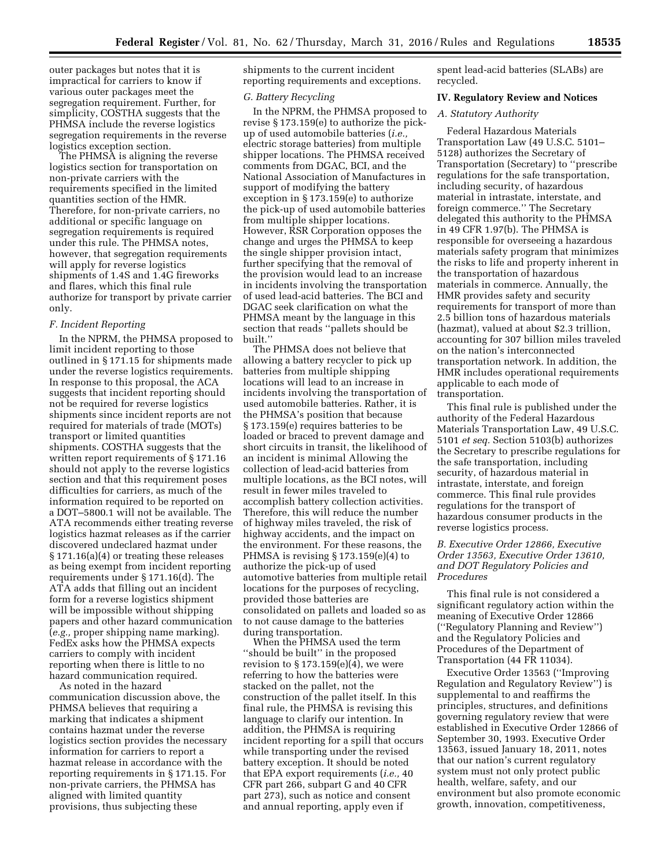outer packages but notes that it is impractical for carriers to know if various outer packages meet the segregation requirement. Further, for simplicity, COSTHA suggests that the PHMSA include the reverse logistics segregation requirements in the reverse logistics exception section.

The PHMSA is aligning the reverse logistics section for transportation on non-private carriers with the requirements specified in the limited quantities section of the HMR. Therefore, for non-private carriers, no additional or specific language on segregation requirements is required under this rule. The PHMSA notes, however, that segregation requirements will apply for reverse logistics shipments of 1.4S and 1.4G fireworks and flares, which this final rule authorize for transport by private carrier only.

## *F. Incident Reporting*

In the NPRM, the PHMSA proposed to limit incident reporting to those outlined in § 171.15 for shipments made under the reverse logistics requirements. In response to this proposal, the ACA suggests that incident reporting should not be required for reverse logistics shipments since incident reports are not required for materials of trade (MOTs) transport or limited quantities shipments. COSTHA suggests that the written report requirements of § 171.16 should not apply to the reverse logistics section and that this requirement poses difficulties for carriers, as much of the information required to be reported on a DOT–5800.1 will not be available. The ATA recommends either treating reverse logistics hazmat releases as if the carrier discovered undeclared hazmat under § 171.16(a)(4) or treating these releases as being exempt from incident reporting requirements under § 171.16(d). The ATA adds that filling out an incident form for a reverse logistics shipment will be impossible without shipping papers and other hazard communication (*e.g.,* proper shipping name marking). FedEx asks how the PHMSA expects carriers to comply with incident reporting when there is little to no hazard communication required.

As noted in the hazard communication discussion above, the PHMSA believes that requiring a marking that indicates a shipment contains hazmat under the reverse logistics section provides the necessary information for carriers to report a hazmat release in accordance with the reporting requirements in § 171.15. For non-private carriers, the PHMSA has aligned with limited quantity provisions, thus subjecting these

shipments to the current incident reporting requirements and exceptions.

#### *G. Battery Recycling*

In the NPRM, the PHMSA proposed to revise § 173.159(e) to authorize the pickup of used automobile batteries (*i.e.,*  electric storage batteries) from multiple shipper locations. The PHMSA received comments from DGAC, BCI, and the National Association of Manufactures in support of modifying the battery exception in § 173.159(e) to authorize the pick-up of used automobile batteries from multiple shipper locations. However, RSR Corporation opposes the change and urges the PHMSA to keep the single shipper provision intact, further specifying that the removal of the provision would lead to an increase in incidents involving the transportation of used lead-acid batteries. The BCI and DGAC seek clarification on what the PHMSA meant by the language in this section that reads ''pallets should be built.''

The PHMSA does not believe that allowing a battery recycler to pick up batteries from multiple shipping locations will lead to an increase in incidents involving the transportation of used automobile batteries. Rather, it is the PHMSA's position that because § 173.159(e) requires batteries to be loaded or braced to prevent damage and short circuits in transit, the likelihood of an incident is minimal Allowing the collection of lead-acid batteries from multiple locations, as the BCI notes, will result in fewer miles traveled to accomplish battery collection activities. Therefore, this will reduce the number of highway miles traveled, the risk of highway accidents, and the impact on the environment. For these reasons, the PHMSA is revising § 173.159(e)(4) to authorize the pick-up of used automotive batteries from multiple retail locations for the purposes of recycling, provided those batteries are consolidated on pallets and loaded so as to not cause damage to the batteries during transportation.

When the PHMSA used the term ''should be built'' in the proposed revision to  $\S 173.159(e)(4)$ , we were referring to how the batteries were stacked on the pallet, not the construction of the pallet itself. In this final rule, the PHMSA is revising this language to clarify our intention. In addition, the PHMSA is requiring incident reporting for a spill that occurs while transporting under the revised battery exception. It should be noted that EPA export requirements (*i.e.,* 40 CFR part 266, subpart G and 40 CFR part 273), such as notice and consent and annual reporting, apply even if

spent lead-acid batteries (SLABs) are recycled.

## **IV. Regulatory Review and Notices**

## *A. Statutory Authority*

Federal Hazardous Materials Transportation Law (49 U.S.C. 5101– 5128) authorizes the Secretary of Transportation (Secretary) to ''prescribe regulations for the safe transportation, including security, of hazardous material in intrastate, interstate, and foreign commerce.'' The Secretary delegated this authority to the PHMSA in 49 CFR 1.97(b). The PHMSA is responsible for overseeing a hazardous materials safety program that minimizes the risks to life and property inherent in the transportation of hazardous materials in commerce. Annually, the HMR provides safety and security requirements for transport of more than 2.5 billion tons of hazardous materials (hazmat), valued at about \$2.3 trillion, accounting for 307 billion miles traveled on the nation's interconnected transportation network. In addition, the HMR includes operational requirements applicable to each mode of transportation.

This final rule is published under the authority of the Federal Hazardous Materials Transportation Law, 49 U.S.C. 5101 *et seq.* Section 5103(b) authorizes the Secretary to prescribe regulations for the safe transportation, including security, of hazardous material in intrastate, interstate, and foreign commerce. This final rule provides regulations for the transport of hazardous consumer products in the reverse logistics process.

# *B. Executive Order 12866, Executive Order 13563, Executive Order 13610, and DOT Regulatory Policies and Procedures*

This final rule is not considered a significant regulatory action within the meaning of Executive Order 12866 (''Regulatory Planning and Review'') and the Regulatory Policies and Procedures of the Department of Transportation (44 FR 11034).

Executive Order 13563 (''Improving Regulation and Regulatory Review'') is supplemental to and reaffirms the principles, structures, and definitions governing regulatory review that were established in Executive Order 12866 of September 30, 1993. Executive Order 13563, issued January 18, 2011, notes that our nation's current regulatory system must not only protect public health, welfare, safety, and our environment but also promote economic growth, innovation, competitiveness,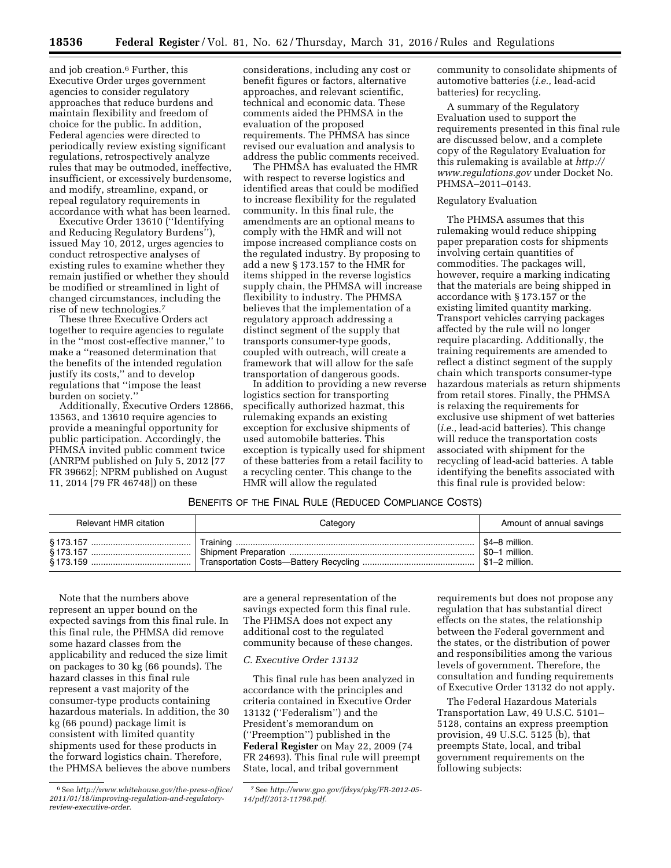and job creation.<sup>6</sup> Further, this Executive Order urges government agencies to consider regulatory approaches that reduce burdens and maintain flexibility and freedom of choice for the public. In addition, Federal agencies were directed to periodically review existing significant regulations, retrospectively analyze rules that may be outmoded, ineffective, insufficient, or excessively burdensome, and modify, streamline, expand, or repeal regulatory requirements in accordance with what has been learned.

Executive Order 13610 (''Identifying and Reducing Regulatory Burdens''), issued May 10, 2012, urges agencies to conduct retrospective analyses of existing rules to examine whether they remain justified or whether they should be modified or streamlined in light of changed circumstances, including the rise of new technologies.7

These three Executive Orders act together to require agencies to regulate in the ''most cost-effective manner,'' to make a ''reasoned determination that the benefits of the intended regulation justify its costs,'' and to develop regulations that ''impose the least burden on society.''

Additionally, Executive Orders 12866, 13563, and 13610 require agencies to provide a meaningful opportunity for public participation. Accordingly, the PHMSA invited public comment twice (ANRPM published on July 5, 2012 [77 FR 39662]; NPRM published on August 11, 2014 [79 FR 46748]) on these

considerations, including any cost or benefit figures or factors, alternative approaches, and relevant scientific, technical and economic data. These comments aided the PHMSA in the evaluation of the proposed requirements. The PHMSA has since revised our evaluation and analysis to address the public comments received.

The PHMSA has evaluated the HMR with respect to reverse logistics and identified areas that could be modified to increase flexibility for the regulated community. In this final rule, the amendments are an optional means to comply with the HMR and will not impose increased compliance costs on the regulated industry. By proposing to add a new § 173.157 to the HMR for items shipped in the reverse logistics supply chain, the PHMSA will increase flexibility to industry. The PHMSA believes that the implementation of a regulatory approach addressing a distinct segment of the supply that transports consumer-type goods, coupled with outreach, will create a framework that will allow for the safe transportation of dangerous goods.

In addition to providing a new reverse logistics section for transporting specifically authorized hazmat, this rulemaking expands an existing exception for exclusive shipments of used automobile batteries. This exception is typically used for shipment of these batteries from a retail facility to a recycling center. This change to the HMR will allow the regulated

community to consolidate shipments of automotive batteries (*i.e.,* lead-acid batteries) for recycling.

A summary of the Regulatory Evaluation used to support the requirements presented in this final rule are discussed below, and a complete copy of the Regulatory Evaluation for this rulemaking is available at *[http://](http://www.regulations.gov) [www.regulations.gov](http://www.regulations.gov)* under Docket No. PHMSA–2011–0143.

## Regulatory Evaluation

The PHMSA assumes that this rulemaking would reduce shipping paper preparation costs for shipments involving certain quantities of commodities. The packages will, however, require a marking indicating that the materials are being shipped in accordance with § 173.157 or the existing limited quantity marking. Transport vehicles carrying packages affected by the rule will no longer require placarding. Additionally, the training requirements are amended to reflect a distinct segment of the supply chain which transports consumer-type hazardous materials as return shipments from retail stores. Finally, the PHMSA is relaxing the requirements for exclusive use shipment of wet batteries (*i.e.,* lead-acid batteries). This change will reduce the transportation costs associated with shipment for the recycling of lead-acid batteries. A table identifying the benefits associated with this final rule is provided below:

## BENEFITS OF THE FINAL RULE (REDUCED COMPLIANCE COSTS)

| Relevant HMR citation      | Category | Amount of annual savings                                                       |
|----------------------------|----------|--------------------------------------------------------------------------------|
| § 173.159 ………………………………………! |          | $\frac{1}{2}$ \$4–8 million.<br>\$0-1 million.<br>$\frac{1}{2}$ \$1-2 million. |

Note that the numbers above represent an upper bound on the expected savings from this final rule. In this final rule, the PHMSA did remove some hazard classes from the applicability and reduced the size limit on packages to 30 kg (66 pounds). The hazard classes in this final rule represent a vast majority of the consumer-type products containing hazardous materials. In addition, the 30 kg (66 pound) package limit is consistent with limited quantity shipments used for these products in the forward logistics chain. Therefore, the PHMSA believes the above numbers are a general representation of the savings expected form this final rule. The PHMSA does not expect any additional cost to the regulated community because of these changes.

#### *C. Executive Order 13132*

This final rule has been analyzed in accordance with the principles and criteria contained in Executive Order 13132 (''Federalism'') and the President's memorandum on (''Preemption'') published in the **Federal Register** on May 22, 2009 (74 FR 24693). This final rule will preempt State, local, and tribal government

requirements but does not propose any regulation that has substantial direct effects on the states, the relationship between the Federal government and the states, or the distribution of power and responsibilities among the various levels of government. Therefore, the consultation and funding requirements of Executive Order 13132 do not apply.

The Federal Hazardous Materials Transportation Law, 49 U.S.C. 5101– 5128, contains an express preemption provision, 49 U.S.C. 5125 (b), that preempts State, local, and tribal government requirements on the following subjects:

<sup>6</sup>See *[http://www.whitehouse.gov/the-press-office/](http://www.whitehouse.gov/the-press-office/2011/01/18/improving-regulation-and-regulatory-review-executive-order) [2011/01/18/improving-regulation-and-regulatory](http://www.whitehouse.gov/the-press-office/2011/01/18/improving-regulation-and-regulatory-review-executive-order)[review-executive-order.](http://www.whitehouse.gov/the-press-office/2011/01/18/improving-regulation-and-regulatory-review-executive-order)* 

<sup>7</sup>See *[http://www.gpo.gov/fdsys/pkg/FR-2012-05-](http://www.gpo.gov/fdsys/pkg/FR-2012-05-14/pdf/2012-11798.pdf) [14/pdf/2012-11798.pdf.](http://www.gpo.gov/fdsys/pkg/FR-2012-05-14/pdf/2012-11798.pdf)*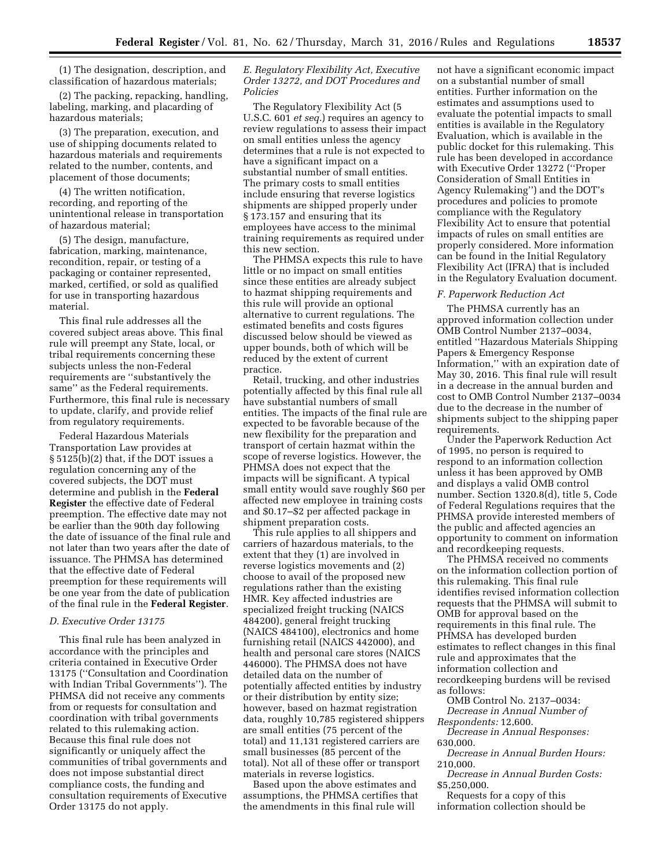(1) The designation, description, and classification of hazardous materials;

(2) The packing, repacking, handling, labeling, marking, and placarding of hazardous materials;

(3) The preparation, execution, and use of shipping documents related to hazardous materials and requirements related to the number, contents, and placement of those documents;

(4) The written notification, recording, and reporting of the unintentional release in transportation of hazardous material;

(5) The design, manufacture, fabrication, marking, maintenance, recondition, repair, or testing of a packaging or container represented, marked, certified, or sold as qualified for use in transporting hazardous material.

This final rule addresses all the covered subject areas above. This final rule will preempt any State, local, or tribal requirements concerning these subjects unless the non-Federal requirements are ''substantively the same'' as the Federal requirements. Furthermore, this final rule is necessary to update, clarify, and provide relief from regulatory requirements.

Federal Hazardous Materials Transportation Law provides at § 5125(b)(2) that, if the DOT issues a regulation concerning any of the covered subjects, the DOT must determine and publish in the **Federal Register** the effective date of Federal preemption. The effective date may not be earlier than the 90th day following the date of issuance of the final rule and not later than two years after the date of issuance. The PHMSA has determined that the effective date of Federal preemption for these requirements will be one year from the date of publication of the final rule in the **Federal Register**.

## *D. Executive Order 13175*

This final rule has been analyzed in accordance with the principles and criteria contained in Executive Order 13175 (''Consultation and Coordination with Indian Tribal Governments''). The PHMSA did not receive any comments from or requests for consultation and coordination with tribal governments related to this rulemaking action. Because this final rule does not significantly or uniquely affect the communities of tribal governments and does not impose substantial direct compliance costs, the funding and consultation requirements of Executive Order 13175 do not apply.

# *E. Regulatory Flexibility Act, Executive Order 13272, and DOT Procedures and Policies*

The Regulatory Flexibility Act (5 U.S.C. 601 *et seq.*) requires an agency to review regulations to assess their impact on small entities unless the agency determines that a rule is not expected to have a significant impact on a substantial number of small entities. The primary costs to small entities include ensuring that reverse logistics shipments are shipped properly under § 173.157 and ensuring that its employees have access to the minimal training requirements as required under this new section.

The PHMSA expects this rule to have little or no impact on small entities since these entities are already subject to hazmat shipping requirements and this rule will provide an optional alternative to current regulations. The estimated benefits and costs figures discussed below should be viewed as upper bounds, both of which will be reduced by the extent of current practice.

Retail, trucking, and other industries potentially affected by this final rule all have substantial numbers of small entities. The impacts of the final rule are expected to be favorable because of the new flexibility for the preparation and transport of certain hazmat within the scope of reverse logistics. However, the PHMSA does not expect that the impacts will be significant. A typical small entity would save roughly \$60 per affected new employee in training costs and \$0.17–\$2 per affected package in shipment preparation costs.

This rule applies to all shippers and carriers of hazardous materials, to the extent that they (1) are involved in reverse logistics movements and (2) choose to avail of the proposed new regulations rather than the existing HMR. Key affected industries are specialized freight trucking (NAICS 484200), general freight trucking (NAICS 484100), electronics and home furnishing retail (NAICS 442000), and health and personal care stores (NAICS 446000). The PHMSA does not have detailed data on the number of potentially affected entities by industry or their distribution by entity size; however, based on hazmat registration data, roughly 10,785 registered shippers are small entities (75 percent of the total) and 11,131 registered carriers are small businesses (85 percent of the total). Not all of these offer or transport materials in reverse logistics.

Based upon the above estimates and assumptions, the PHMSA certifies that the amendments in this final rule will

not have a significant economic impact on a substantial number of small entities. Further information on the estimates and assumptions used to evaluate the potential impacts to small entities is available in the Regulatory Evaluation, which is available in the public docket for this rulemaking. This rule has been developed in accordance with Executive Order 13272 (''Proper Consideration of Small Entities in Agency Rulemaking'') and the DOT's procedures and policies to promote compliance with the Regulatory Flexibility Act to ensure that potential impacts of rules on small entities are properly considered. More information can be found in the Initial Regulatory Flexibility Act (IFRA) that is included in the Regulatory Evaluation document.

## *F. Paperwork Reduction Act*

The PHMSA currently has an approved information collection under OMB Control Number 2137–0034, entitled ''Hazardous Materials Shipping Papers & Emergency Response Information,'' with an expiration date of May 30, 2016. This final rule will result in a decrease in the annual burden and cost to OMB Control Number 2137–0034 due to the decrease in the number of shipments subject to the shipping paper requirements.

Under the Paperwork Reduction Act of 1995, no person is required to respond to an information collection unless it has been approved by OMB and displays a valid OMB control number. Section 1320.8(d), title 5, Code of Federal Regulations requires that the PHMSA provide interested members of the public and affected agencies an opportunity to comment on information and recordkeeping requests.

The PHMSA received no comments on the information collection portion of this rulemaking. This final rule identifies revised information collection requests that the PHMSA will submit to OMB for approval based on the requirements in this final rule. The PHMSA has developed burden estimates to reflect changes in this final rule and approximates that the information collection and recordkeeping burdens will be revised as follows:

OMB Control No. 2137–0034: *Decrease in Annual Number of Respondents:* 12,600.

*Decrease in Annual Responses:*  630,000.

*Decrease in Annual Burden Hours:*  210,000.

*Decrease in Annual Burden Costs:*  \$5,250,000.

Requests for a copy of this information collection should be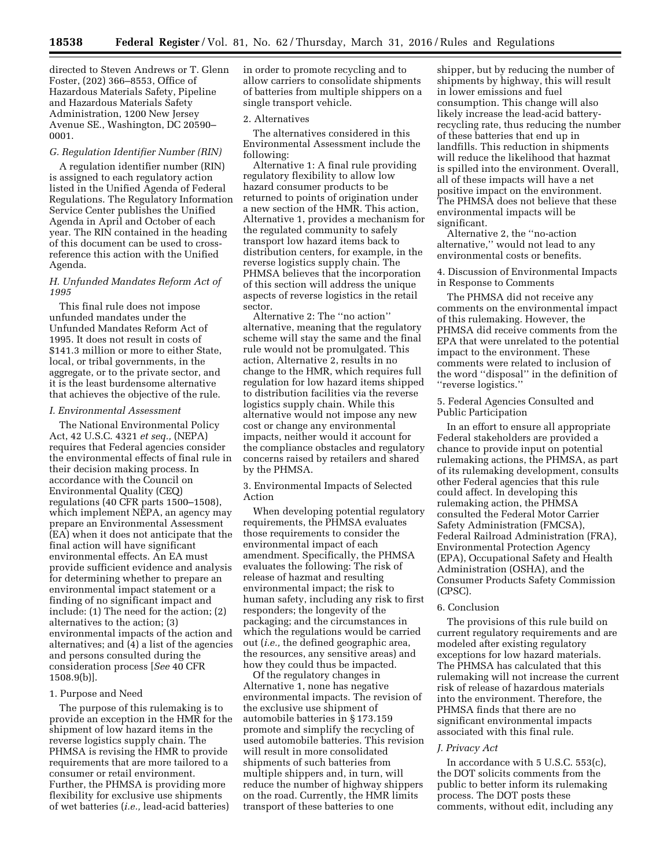directed to Steven Andrews or T. Glenn Foster, (202) 366–8553, Office of Hazardous Materials Safety, Pipeline and Hazardous Materials Safety Administration, 1200 New Jersey Avenue SE., Washington, DC 20590– 0001.

#### *G. Regulation Identifier Number (RIN)*

A regulation identifier number (RIN) is assigned to each regulatory action listed in the Unified Agenda of Federal Regulations. The Regulatory Information Service Center publishes the Unified Agenda in April and October of each year. The RIN contained in the heading of this document can be used to crossreference this action with the Unified Agenda.

# *H. Unfunded Mandates Reform Act of 1995*

This final rule does not impose unfunded mandates under the Unfunded Mandates Reform Act of 1995. It does not result in costs of \$141.3 million or more to either State, local, or tribal governments, in the aggregate, or to the private sector, and it is the least burdensome alternative that achieves the objective of the rule.

#### *I. Environmental Assessment*

The National Environmental Policy Act, 42 U.S.C. 4321 *et seq.,* (NEPA) requires that Federal agencies consider the environmental effects of final rule in their decision making process. In accordance with the Council on Environmental Quality (CEQ) regulations (40 CFR parts 1500–1508), which implement NEPA, an agency may prepare an Environmental Assessment (EA) when it does not anticipate that the final action will have significant environmental effects. An EA must provide sufficient evidence and analysis for determining whether to prepare an environmental impact statement or a finding of no significant impact and include: (1) The need for the action; (2) alternatives to the action; (3) environmental impacts of the action and alternatives; and (4) a list of the agencies and persons consulted during the consideration process [*See* 40 CFR 1508.9(b)].

## 1. Purpose and Need

The purpose of this rulemaking is to provide an exception in the HMR for the shipment of low hazard items in the reverse logistics supply chain. The PHMSA is revising the HMR to provide requirements that are more tailored to a consumer or retail environment. Further, the PHMSA is providing more flexibility for exclusive use shipments of wet batteries (*i.e.,* lead-acid batteries)

in order to promote recycling and to allow carriers to consolidate shipments of batteries from multiple shippers on a single transport vehicle.

## 2. Alternatives

The alternatives considered in this Environmental Assessment include the following:

Alternative 1: A final rule providing regulatory flexibility to allow low hazard consumer products to be returned to points of origination under a new section of the HMR. This action, Alternative 1, provides a mechanism for the regulated community to safely transport low hazard items back to distribution centers, for example, in the reverse logistics supply chain. The PHMSA believes that the incorporation of this section will address the unique aspects of reverse logistics in the retail sector.

Alternative 2: The ''no action'' alternative, meaning that the regulatory scheme will stay the same and the final rule would not be promulgated. This action, Alternative 2, results in no change to the HMR, which requires full regulation for low hazard items shipped to distribution facilities via the reverse logistics supply chain. While this alternative would not impose any new cost or change any environmental impacts, neither would it account for the compliance obstacles and regulatory concerns raised by retailers and shared by the PHMSA.

3. Environmental Impacts of Selected Action

When developing potential regulatory requirements, the PHMSA evaluates those requirements to consider the environmental impact of each amendment. Specifically, the PHMSA evaluates the following: The risk of release of hazmat and resulting environmental impact; the risk to human safety, including any risk to first responders; the longevity of the packaging; and the circumstances in which the regulations would be carried out (*i.e.,* the defined geographic area, the resources, any sensitive areas) and how they could thus be impacted.

Of the regulatory changes in Alternative 1, none has negative environmental impacts. The revision of the exclusive use shipment of automobile batteries in § 173.159 promote and simplify the recycling of used automobile batteries. This revision will result in more consolidated shipments of such batteries from multiple shippers and, in turn, will reduce the number of highway shippers on the road. Currently, the HMR limits transport of these batteries to one

shipper, but by reducing the number of shipments by highway, this will result in lower emissions and fuel consumption. This change will also likely increase the lead-acid batteryrecycling rate, thus reducing the number of these batteries that end up in landfills. This reduction in shipments will reduce the likelihood that hazmat is spilled into the environment. Overall, all of these impacts will have a net positive impact on the environment. The PHMSA does not believe that these environmental impacts will be significant.

Alternative 2, the ''no-action alternative,'' would not lead to any environmental costs or benefits.

4. Discussion of Environmental Impacts in Response to Comments

The PHMSA did not receive any comments on the environmental impact of this rulemaking. However, the PHMSA did receive comments from the EPA that were unrelated to the potential impact to the environment. These comments were related to inclusion of the word ''disposal'' in the definition of ''reverse logistics.''

5. Federal Agencies Consulted and Public Participation

In an effort to ensure all appropriate Federal stakeholders are provided a chance to provide input on potential rulemaking actions, the PHMSA, as part of its rulemaking development, consults other Federal agencies that this rule could affect. In developing this rulemaking action, the PHMSA consulted the Federal Motor Carrier Safety Administration (FMCSA), Federal Railroad Administration (FRA), Environmental Protection Agency (EPA), Occupational Safety and Health Administration (OSHA), and the Consumer Products Safety Commission (CPSC).

# 6. Conclusion

The provisions of this rule build on current regulatory requirements and are modeled after existing regulatory exceptions for low hazard materials. The PHMSA has calculated that this rulemaking will not increase the current risk of release of hazardous materials into the environment. Therefore, the PHMSA finds that there are no significant environmental impacts associated with this final rule.

#### *J. Privacy Act*

In accordance with 5 U.S.C. 553(c), the DOT solicits comments from the public to better inform its rulemaking process. The DOT posts these comments, without edit, including any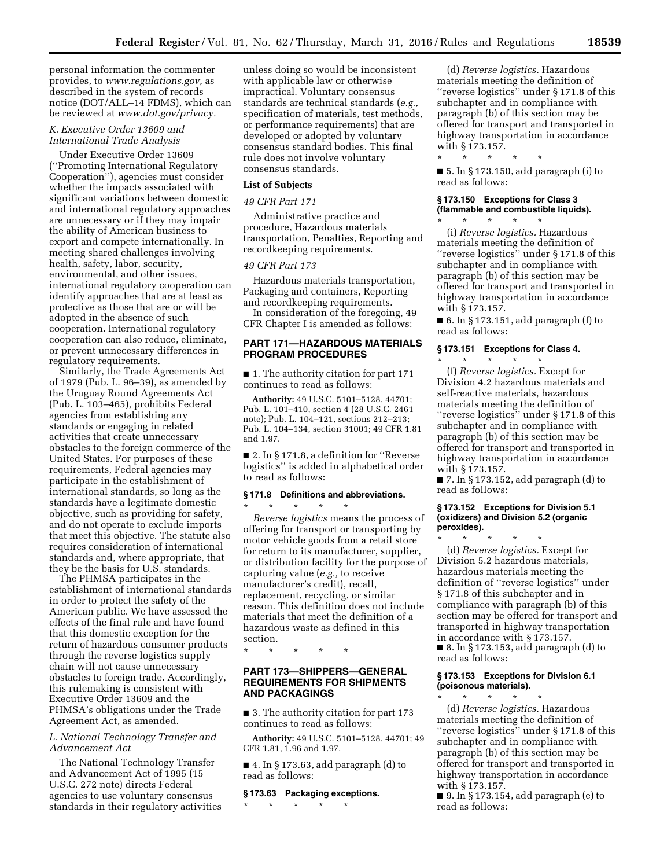personal information the commenter provides, to *[www.regulations.gov,](http://www.regulations.gov)* as described in the system of records notice (DOT/ALL–14 FDMS), which can be reviewed at *[www.dot.gov/privacy.](http://www.dot.gov/privacy)* 

# *K. Executive Order 13609 and International Trade Analysis*

Under Executive Order 13609 (''Promoting International Regulatory Cooperation''), agencies must consider whether the impacts associated with significant variations between domestic and international regulatory approaches are unnecessary or if they may impair the ability of American business to export and compete internationally. In meeting shared challenges involving health, safety, labor, security, environmental, and other issues, international regulatory cooperation can identify approaches that are at least as protective as those that are or will be adopted in the absence of such cooperation. International regulatory cooperation can also reduce, eliminate, or prevent unnecessary differences in regulatory requirements.

Similarly, the Trade Agreements Act of 1979 (Pub. L. 96–39), as amended by the Uruguay Round Agreements Act (Pub. L. 103–465), prohibits Federal agencies from establishing any standards or engaging in related activities that create unnecessary obstacles to the foreign commerce of the United States. For purposes of these requirements, Federal agencies may participate in the establishment of international standards, so long as the standards have a legitimate domestic objective, such as providing for safety, and do not operate to exclude imports that meet this objective. The statute also requires consideration of international standards and, where appropriate, that they be the basis for U.S. standards.

The PHMSA participates in the establishment of international standards in order to protect the safety of the American public. We have assessed the effects of the final rule and have found that this domestic exception for the return of hazardous consumer products through the reverse logistics supply chain will not cause unnecessary obstacles to foreign trade. Accordingly, this rulemaking is consistent with Executive Order 13609 and the PHMSA's obligations under the Trade Agreement Act, as amended.

# *L. National Technology Transfer and Advancement Act*

The National Technology Transfer and Advancement Act of 1995 (15 U.S.C. 272 note) directs Federal agencies to use voluntary consensus standards in their regulatory activities

unless doing so would be inconsistent with applicable law or otherwise impractical. Voluntary consensus standards are technical standards (*e.g.,*  specification of materials, test methods, or performance requirements) that are developed or adopted by voluntary consensus standard bodies. This final rule does not involve voluntary consensus standards.

# **List of Subjects**

## *49 CFR Part 171*

Administrative practice and procedure, Hazardous materials transportation, Penalties, Reporting and recordkeeping requirements.

## *49 CFR Part 173*

Hazardous materials transportation, Packaging and containers, Reporting and recordkeeping requirements.

In consideration of the foregoing, 49 CFR Chapter I is amended as follows:

# **PART 171—HAZARDOUS MATERIALS PROGRAM PROCEDURES**

■ 1. The authority citation for part 171 continues to read as follows:

**Authority:** 49 U.S.C. 5101–5128, 44701; Pub. L. 101–410, section 4 (28 U.S.C. 2461 note); Pub. L. 104–121, sections 212–213; Pub. L. 104–134, section 31001; 49 CFR 1.81 and 1.97.

■ 2. In § 171.8, a definition for "Reverse logistics'' is added in alphabetical order to read as follows:

## **§ 171.8 Definitions and abbreviations.**

\* \* \* \* \* *Reverse logistics* means the process of offering for transport or transporting by motor vehicle goods from a retail store for return to its manufacturer, supplier, or distribution facility for the purpose of capturing value (*e.g.,* to receive manufacturer's credit), recall, replacement, recycling, or similar reason. This definition does not include materials that meet the definition of a hazardous waste as defined in this

\* \* \* \* \*

section.

# **PART 173—SHIPPERS—GENERAL REQUIREMENTS FOR SHIPMENTS AND PACKAGINGS**

■ 3. The authority citation for part 173 continues to read as follows:

**Authority:** 49 U.S.C. 5101–5128, 44701; 49 CFR 1.81, 1.96 and 1.97.

■ 4. In § 173.63, add paragraph (d) to read as follows:

## **§ 173.63 Packaging exceptions.**

\* \* \* \* \*

(d) *Reverse logistics.* Hazardous materials meeting the definition of "reverse logistics" under § 171.8 of this subchapter and in compliance with paragraph (b) of this section may be offered for transport and transported in highway transportation in accordance with § 173.157.

\* \* \* \* \*  $\blacksquare$  5. In § 173.150, add paragraph (i) to read as follows:

# **§ 173.150 Exceptions for Class 3 (flammable and combustible liquids).**

\* \* \* \* \* (i) *Reverse logistics.* Hazardous materials meeting the definition of ''reverse logistics'' under § 171.8 of this subchapter and in compliance with paragraph (b) of this section may be offered for transport and transported in highway transportation in accordance with § 173.157.

 $\blacksquare$  6. In § 173.151, add paragraph (f) to read as follows:

# **§ 173.151 Exceptions for Class 4.**

\* \* \* \* \* (f) *Reverse logistics.* Except for Division 4.2 hazardous materials and self-reactive materials, hazardous materials meeting the definition of ''reverse logistics'' under § 171.8 of this subchapter and in compliance with paragraph (b) of this section may be offered for transport and transported in highway transportation in accordance with § 173.157.

■ 7. In § 173.152, add paragraph (d) to read as follows:

## **§ 173.152 Exceptions for Division 5.1 (oxidizers) and Division 5.2 (organic peroxides).**

\* \* \* \* \* (d) *Reverse logistics.* Except for Division 5.2 hazardous materials, hazardous materials meeting the definition of ''reverse logistics'' under § 171.8 of this subchapter and in compliance with paragraph (b) of this section may be offered for transport and transported in highway transportation in accordance with § 173.157. ■ 8. In § 173.153, add paragraph (d) to

read as follows:

## **§ 173.153 Exceptions for Division 6.1 (poisonous materials).**  \* \* \* \* \*

(d) *Reverse logistics.* Hazardous materials meeting the definition of ''reverse logistics'' under § 171.8 of this subchapter and in compliance with paragraph (b) of this section may be offered for transport and transported in highway transportation in accordance with § 173.157.

■ 9. In § 173.154, add paragraph (e) to read as follows: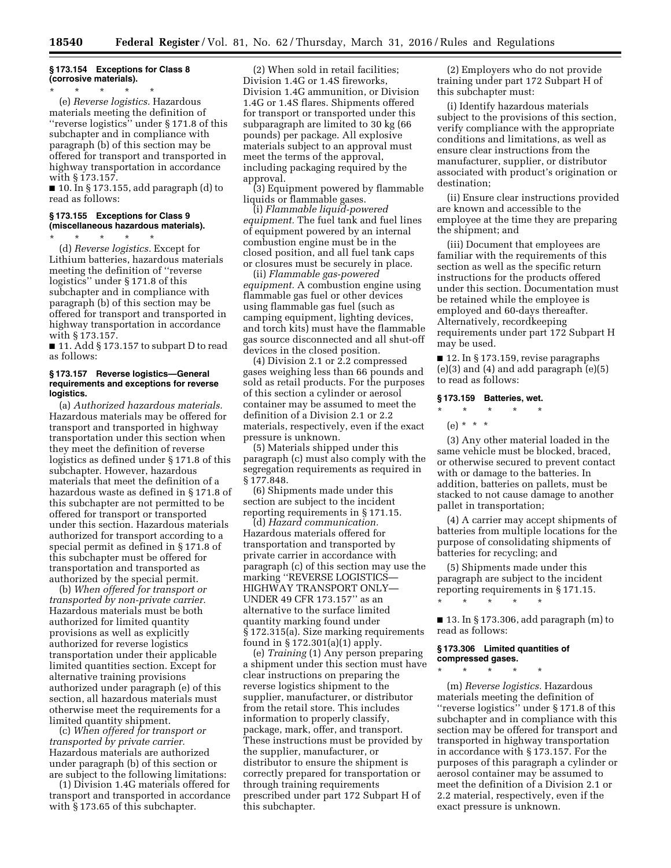# **§ 173.154 Exceptions for Class 8 (corrosive materials).**

\* \* \* \* \* (e) *Reverse logistics.* Hazardous materials meeting the definition of ''reverse logistics'' under § 171.8 of this subchapter and in compliance with paragraph (b) of this section may be offered for transport and transported in highway transportation in accordance with § 173.157.

■ 10. In § 173.155, add paragraph (d) to read as follows:

## **§ 173.155 Exceptions for Class 9 (miscellaneous hazardous materials).**  \* \* \* \* \*

(d) *Reverse logistics.* Except for Lithium batteries, hazardous materials meeting the definition of ''reverse logistics'' under § 171.8 of this subchapter and in compliance with paragraph (b) of this section may be offered for transport and transported in highway transportation in accordance with § 173.157.

■ 11. Add § 173.157 to subpart D to read as follows:

## **§ 173.157 Reverse logistics—General requirements and exceptions for reverse logistics.**

(a) *Authorized hazardous materials.*  Hazardous materials may be offered for transport and transported in highway transportation under this section when they meet the definition of reverse logistics as defined under § 171.8 of this subchapter. However, hazardous materials that meet the definition of a hazardous waste as defined in § 171.8 of this subchapter are not permitted to be offered for transport or transported under this section. Hazardous materials authorized for transport according to a special permit as defined in § 171.8 of this subchapter must be offered for transportation and transported as authorized by the special permit.

(b) *When offered for transport or transported by non-private carrier.*  Hazardous materials must be both authorized for limited quantity provisions as well as explicitly authorized for reverse logistics transportation under their applicable limited quantities section. Except for alternative training provisions authorized under paragraph (e) of this section, all hazardous materials must otherwise meet the requirements for a limited quantity shipment.

(c) *When offered for transport or transported by private carrier.*  Hazardous materials are authorized under paragraph (b) of this section or are subject to the following limitations:

(1) Division 1.4G materials offered for transport and transported in accordance with § 173.65 of this subchapter.

(2) When sold in retail facilities; Division 1.4G or 1.4S fireworks, Division 1.4G ammunition, or Division 1.4G or 1.4S flares. Shipments offered for transport or transported under this subparagraph are limited to 30 kg (66 pounds) per package. All explosive materials subject to an approval must meet the terms of the approval, including packaging required by the approval.

(3) Equipment powered by flammable liquids or flammable gases.

(i) *Flammable liquid-powered equipment.* The fuel tank and fuel lines of equipment powered by an internal combustion engine must be in the closed position, and all fuel tank caps or closures must be securely in place.

(ii) *Flammable gas-powered equipment.* A combustion engine using flammable gas fuel or other devices using flammable gas fuel (such as camping equipment, lighting devices, and torch kits) must have the flammable gas source disconnected and all shut-off devices in the closed position.

(4) Division 2.1 or 2.2 compressed gases weighing less than 66 pounds and sold as retail products. For the purposes of this section a cylinder or aerosol container may be assumed to meet the definition of a Division 2.1 or 2.2 materials, respectively, even if the exact pressure is unknown.

(5) Materials shipped under this paragraph (c) must also comply with the segregation requirements as required in § 177.848.

(6) Shipments made under this section are subject to the incident reporting requirements in § 171.15.

(d) *Hazard communication.*  Hazardous materials offered for transportation and transported by private carrier in accordance with paragraph (c) of this section may use the marking ''REVERSE LOGISTICS— HIGHWAY TRANSPORT ONLY— UNDER 49 CFR 173.157'' as an alternative to the surface limited quantity marking found under § 172.315(a). Size marking requirements found in § 172.301(a)(1) apply.

(e) *Training* (1) Any person preparing a shipment under this section must have clear instructions on preparing the reverse logistics shipment to the supplier, manufacturer, or distributor from the retail store. This includes information to properly classify, package, mark, offer, and transport. These instructions must be provided by the supplier, manufacturer, or distributor to ensure the shipment is correctly prepared for transportation or through training requirements prescribed under part 172 Subpart H of this subchapter.

(2) Employers who do not provide training under part 172 Subpart H of this subchapter must:

(i) Identify hazardous materials subject to the provisions of this section, verify compliance with the appropriate conditions and limitations, as well as ensure clear instructions from the manufacturer, supplier, or distributor associated with product's origination or destination;

(ii) Ensure clear instructions provided are known and accessible to the employee at the time they are preparing the shipment; and

(iii) Document that employees are familiar with the requirements of this section as well as the specific return instructions for the products offered under this section. Documentation must be retained while the employee is employed and 60-days thereafter. Alternatively, recordkeeping requirements under part 172 Subpart H may be used.

■ 12. In § 173.159, revise paragraphs (e)(3) and (4) and add paragraph (e)(5) to read as follows:

## **§ 173.159 Batteries, wet.**

# \* \* \* \* \*

 $(e) * * * *$ 

(3) Any other material loaded in the same vehicle must be blocked, braced, or otherwise secured to prevent contact with or damage to the batteries. In addition, batteries on pallets, must be stacked to not cause damage to another pallet in transportation;

(4) A carrier may accept shipments of batteries from multiple locations for the purpose of consolidating shipments of batteries for recycling; and

(5) Shipments made under this paragraph are subject to the incident reporting requirements in § 171.15.

\* \* \* \* \*

■ 13. In § 173.306, add paragraph (m) to read as follows:

# **§ 173.306 Limited quantities of compressed gases.**

\* \* \* \* \*

(m) *Reverse logistics.* Hazardous materials meeting the definition of ''reverse logistics'' under § 171.8 of this subchapter and in compliance with this section may be offered for transport and transported in highway transportation in accordance with § 173.157. For the purposes of this paragraph a cylinder or aerosol container may be assumed to meet the definition of a Division 2.1 or 2.2 material, respectively, even if the exact pressure is unknown.